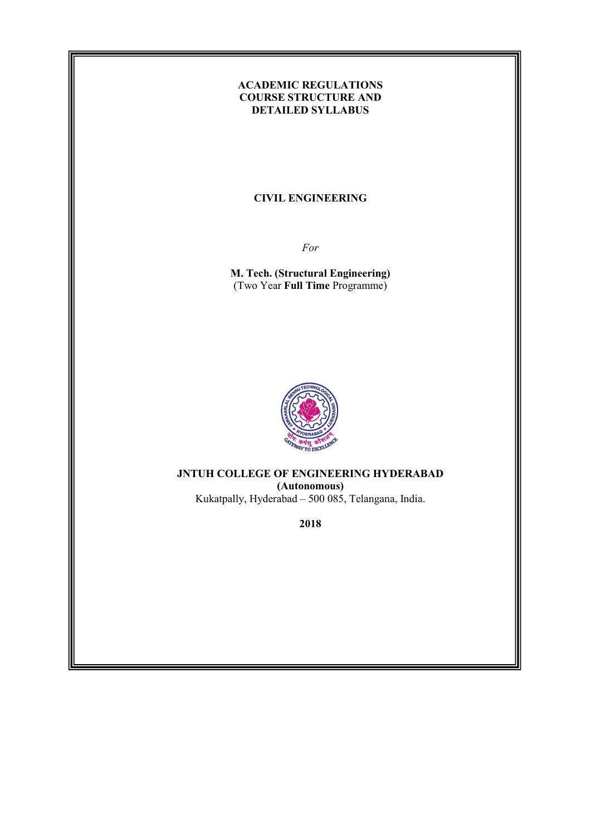# ACADEMIC REGULATIONS COURSE STRUCTURE AND DETAILED SYLLABUS

#### CIVIL ENGINEERING

For

M. Tech. (Structural Engineering) (Two Year Full Time Programme)



JNTUH COLLEGE OF ENGINEERING HYDERABAD (Autonomous) Kukatpally, Hyderabad – 500 085, Telangana, India.

2018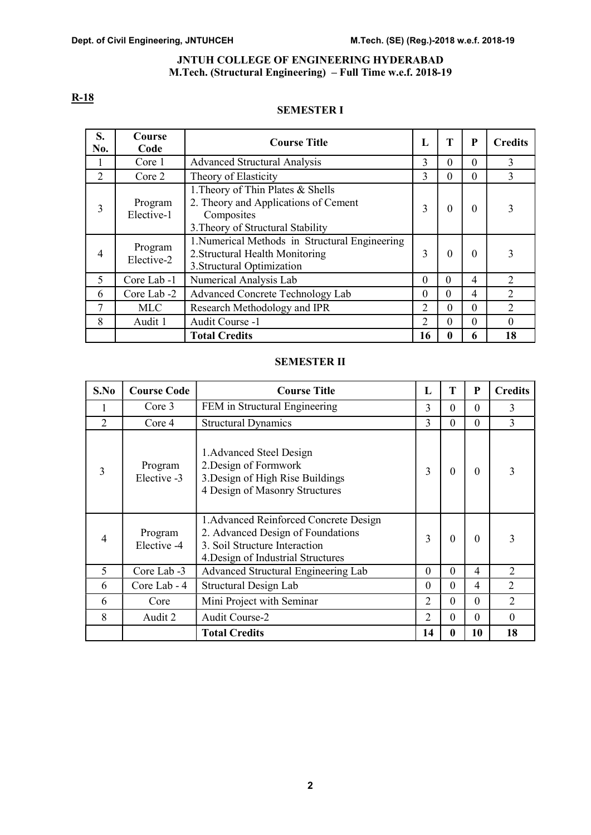#### JNTUH COLLEGE OF ENGINEERING HYDERABAD M.Tech. (Structural Engineering) – Full Time w.e.f. 2018-19

# R-18

# SEMESTER I

| S.<br>No.      | Course<br>Code        | <b>Course Title</b>                                                                                                          | L        | T            | P        | <b>Credits</b> |
|----------------|-----------------------|------------------------------------------------------------------------------------------------------------------------------|----------|--------------|----------|----------------|
|                | Core 1                | <b>Advanced Structural Analysis</b>                                                                                          | 3        | $\Omega$     | $\Omega$ | 3              |
| $\overline{2}$ | Core 2                | Theory of Elasticity                                                                                                         | 3        | $\theta$     | $\theta$ | 3              |
| 3              | Program<br>Elective-1 | 1. Theory of Thin Plates & Shells<br>2. Theory and Applications of Cement<br>Composites<br>3. Theory of Structural Stability | 3        | $\theta$     | $\theta$ | 3              |
| $\overline{4}$ | Program<br>Elective-2 | 1. Numerical Methods in Structural Engineering<br>2. Structural Health Monitoring<br>3. Structural Optimization              | 3        | $\theta$     | $\theta$ | 3              |
| 5              | Core Lab -1           | Numerical Analysis Lab                                                                                                       | $\Omega$ | $\Omega$     | 4        | $\overline{2}$ |
| 6              | Core Lab -2           | Advanced Concrete Technology Lab                                                                                             | $\theta$ | $\theta$     | 4        | 2              |
| 7              | <b>MLC</b>            | Research Methodology and IPR                                                                                                 | 2        | $\Omega$     | $\theta$ | $\overline{2}$ |
| 8              | Audit 1               | Audit Course -1                                                                                                              | 2        | $\theta$     | $\theta$ | $\theta$       |
|                |                       | <b>Total Credits</b>                                                                                                         | 16       | $\mathbf{0}$ | 6        | 18             |

#### SEMESTER II

| S.No                        | <b>Course Code</b>     | <b>Course Title</b>                                                                                                                                | L        | т        | P        | <b>Credits</b> |
|-----------------------------|------------------------|----------------------------------------------------------------------------------------------------------------------------------------------------|----------|----------|----------|----------------|
|                             | Core 3                 | FEM in Structural Engineering                                                                                                                      | 3        | $\Omega$ | $\Omega$ | 3              |
| $\mathcal{D}_{\mathcal{L}}$ | Core 4                 | <b>Structural Dynamics</b>                                                                                                                         | 3        | $\Omega$ | $\theta$ | 3              |
| 3                           | Program<br>Elective -3 | 1. Advanced Steel Design<br>2. Design of Formwork<br>3. Design of High Rise Buildings<br>4 Design of Masonry Structures                            | 3        | $\Omega$ | $\Omega$ | 3              |
| 4                           | Program<br>Elective -4 | 1. Advanced Reinforced Concrete Design<br>2. Advanced Design of Foundations<br>3. Soil Structure Interaction<br>4. Design of Industrial Structures | 3        | $\Omega$ | $\Omega$ | 3              |
| 5                           | Core Lab -3            | Advanced Structural Engineering Lab                                                                                                                | $\Omega$ | $\Omega$ | 4        | 2              |
| 6                           | Core Lab - 4           | Structural Design Lab                                                                                                                              | $\Omega$ | $\Omega$ | 4        | $\overline{2}$ |
| 6                           | Core                   | Mini Project with Seminar                                                                                                                          | 2        | $\Omega$ | $\Omega$ | $\overline{2}$ |
| 8                           | Audit 2                | <b>Audit Course-2</b>                                                                                                                              | 2        | $\Omega$ | $\Omega$ | $\Omega$       |
|                             |                        | <b>Total Credits</b>                                                                                                                               | 14       | 0        | 10       | 18             |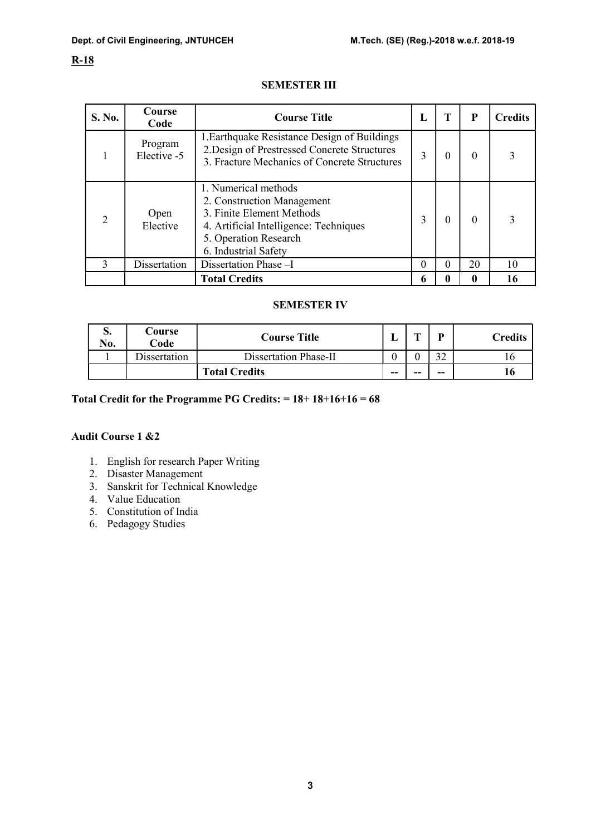# R-18

# SEMESTER III

| S. No.                      | Course<br>Code         | <b>Course Title</b>                                                                                                                                                        | п. | т | P        | <b>Credits</b> |
|-----------------------------|------------------------|----------------------------------------------------------------------------------------------------------------------------------------------------------------------------|----|---|----------|----------------|
|                             | Program<br>Elective -5 | 1. Earthquake Resistance Design of Buildings<br>2. Design of Prestressed Concrete Structures<br>3. Fracture Mechanics of Concrete Structures                               | 3  | 0 | $\Omega$ |                |
| $\mathcal{D}_{\mathcal{L}}$ | Open<br>Elective       | 1. Numerical methods<br>2. Construction Management<br>3. Finite Element Methods<br>4. Artificial Intelligence: Techniques<br>5. Operation Research<br>6. Industrial Safety | 3  | 0 | $\theta$ |                |
| $\mathbf{3}$                | Dissertation           | Dissertation Phase -I                                                                                                                                                      | 0  | 0 | 20       | 10             |
|                             |                        | <b>Total Credits</b>                                                                                                                                                       | 6  | 0 | 0        |                |

# SEMESTER IV

| IJ.<br>No. | Course<br>Code | <b>Course Title</b>   |    | m  | D  | Credits |
|------------|----------------|-----------------------|----|----|----|---------|
|            | issertation    | Dissertation Phase-II |    |    |    |         |
|            |                | <b>Total Credits</b>  | -- | -- | -- |         |

# Total Credit for the Programme PG Credits:  $= 18 + 18 + 16 + 16 = 68$

# Audit Course 1 &2

- 1. English for research Paper Writing
- 2. Disaster Management
- 3. Sanskrit for Technical Knowledge
- 4. Value Education
- 5. Constitution of India
- 6. Pedagogy Studies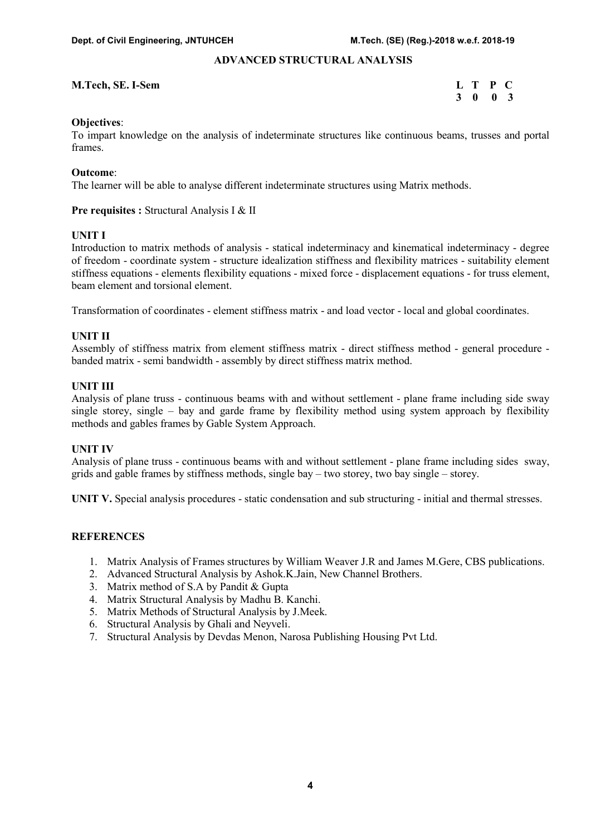# ADVANCED STRUCTURAL ANALYSIS

#### M.Tech, SE. I-Sem L T P C

3 0 0 3

#### Objectives:

To impart knowledge on the analysis of indeterminate structures like continuous beams, trusses and portal frames.

#### Outcome:

The learner will be able to analyse different indeterminate structures using Matrix methods.

#### Pre requisites : Structural Analysis I & II

### UNIT I

Introduction to matrix methods of analysis - statical indeterminacy and kinematical indeterminacy - degree of freedom - coordinate system - structure idealization stiffness and flexibility matrices - suitability element stiffness equations - elements flexibility equations - mixed force - displacement equations - for truss element, beam element and torsional element.

Transformation of coordinates - element stiffness matrix - and load vector - local and global coordinates.

#### UNIT II

Assembly of stiffness matrix from element stiffness matrix - direct stiffness method - general procedure banded matrix - semi bandwidth - assembly by direct stiffness matrix method.

#### UNIT III

Analysis of plane truss - continuous beams with and without settlement - plane frame including side sway single storey, single – bay and garde frame by flexibility method using system approach by flexibility methods and gables frames by Gable System Approach.

#### UNIT IV

Analysis of plane truss - continuous beams with and without settlement - plane frame including sides sway, grids and gable frames by stiffness methods, single bay – two storey, two bay single – storey.

UNIT V. Special analysis procedures - static condensation and sub structuring - initial and thermal stresses.

#### **REFERENCES**

- 1. Matrix Analysis of Frames structures by William Weaver J.R and James M.Gere, CBS publications.
- 2. Advanced Structural Analysis by Ashok.K.Jain, New Channel Brothers.
- 3. Matrix method of S.A by Pandit & Gupta
- 4. Matrix Structural Analysis by Madhu B. Kanchi.
- 5. Matrix Methods of Structural Analysis by J.Meek.
- 6. Structural Analysis by Ghali and Neyveli.
- 7. Structural Analysis by Devdas Menon, Narosa Publishing Housing Pvt Ltd.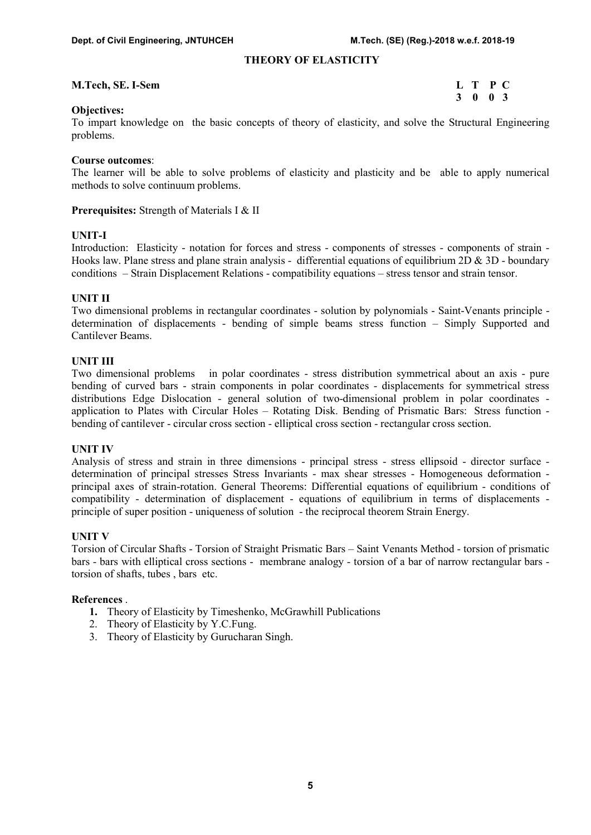#### THEORY OF ELASTICITY

#### M.Tech, SE. I-Sem L T P C

3 0 0 3

#### Objectives:

To impart knowledge on the basic concepts of theory of elasticity, and solve the Structural Engineering problems.

#### Course outcomes:

The learner will be able to solve problems of elasticity and plasticity and be able to apply numerical methods to solve continuum problems.

#### Prerequisites: Strength of Materials I & II

# UNIT-I

Introduction: Elasticity - notation for forces and stress - components of stresses - components of strain - Hooks law. Plane stress and plane strain analysis - differential equations of equilibrium 2D & 3D - boundary conditions – Strain Displacement Relations - compatibility equations – stress tensor and strain tensor.

#### UNIT II

Two dimensional problems in rectangular coordinates - solution by polynomials - Saint-Venants principle determination of displacements - bending of simple beams stress function – Simply Supported and Cantilever Beams.

#### UNIT III

Two dimensional problems in polar coordinates - stress distribution symmetrical about an axis - pure bending of curved bars - strain components in polar coordinates - displacements for symmetrical stress distributions Edge Dislocation - general solution of two-dimensional problem in polar coordinates application to Plates with Circular Holes – Rotating Disk. Bending of Prismatic Bars: Stress function bending of cantilever - circular cross section - elliptical cross section - rectangular cross section.

#### UNIT IV

Analysis of stress and strain in three dimensions - principal stress - stress ellipsoid - director surface determination of principal stresses Stress Invariants - max shear stresses - Homogeneous deformation principal axes of strain-rotation. General Theorems: Differential equations of equilibrium - conditions of compatibility - determination of displacement - equations of equilibrium in terms of displacements principle of super position - uniqueness of solution - the reciprocal theorem Strain Energy.

#### UNIT V

Torsion of Circular Shafts - Torsion of Straight Prismatic Bars – Saint Venants Method - torsion of prismatic bars - bars with elliptical cross sections - membrane analogy - torsion of a bar of narrow rectangular bars torsion of shafts, tubes , bars etc.

#### References .

- 1. Theory of Elasticity by Timeshenko, McGrawhill Publications
- 2. Theory of Elasticity by Y.C.Fung.
- 3. Theory of Elasticity by Gurucharan Singh.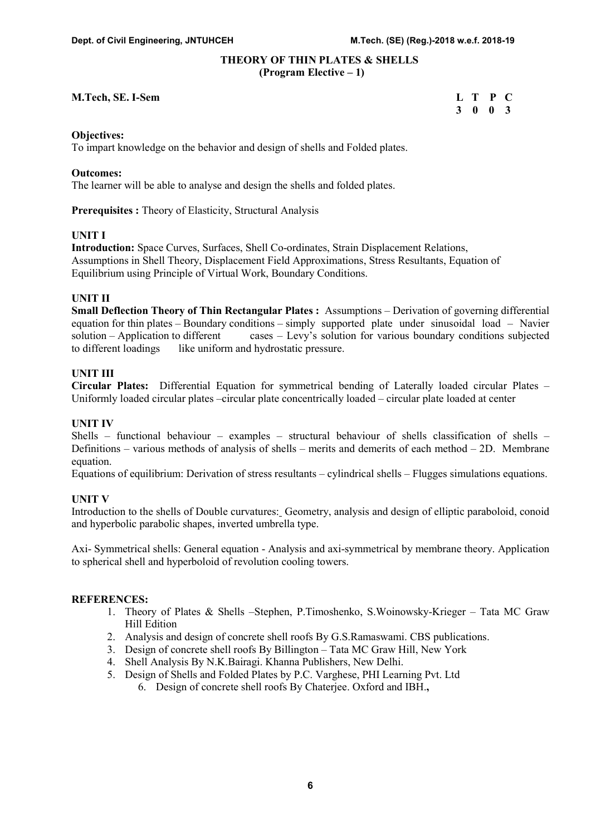#### THEORY OF THIN PLATES & SHELLS (Program Elective – 1)

#### M.Tech, SE. I-Sem L T P C

3 0 0 3

#### Objectives:

To impart knowledge on the behavior and design of shells and Folded plates.

#### Outcomes:

The learner will be able to analyse and design the shells and folded plates.

Prerequisites : Theory of Elasticity, Structural Analysis

# UNIT I

Introduction: Space Curves, Surfaces, Shell Co-ordinates, Strain Displacement Relations, Assumptions in Shell Theory, Displacement Field Approximations, Stress Resultants, Equation of Equilibrium using Principle of Virtual Work, Boundary Conditions.

#### UNIT II

Small Deflection Theory of Thin Rectangular Plates : Assumptions – Derivation of governing differential equation for thin plates – Boundary conditions – simply supported plate under sinusoidal load – Navier solution – Application to different cases – Levy's solution for various boundary conditions subjected to different loadings like uniform and hydrostatic pressure.

#### UNIT III

Circular Plates: Differential Equation for symmetrical bending of Laterally loaded circular Plates – Uniformly loaded circular plates –circular plate concentrically loaded – circular plate loaded at center

#### UNIT IV

Shells – functional behaviour – examples – structural behaviour of shells classification of shells – Definitions – various methods of analysis of shells – merits and demerits of each method – 2D. Membrane equation.

Equations of equilibrium: Derivation of stress resultants – cylindrical shells – Flugges simulations equations.

#### UNIT V

Introduction to the shells of Double curvatures: Geometry, analysis and design of elliptic paraboloid, conoid and hyperbolic parabolic shapes, inverted umbrella type.

Axi- Symmetrical shells: General equation - Analysis and axi-symmetrical by membrane theory. Application to spherical shell and hyperboloid of revolution cooling towers.

- 1. Theory of Plates & Shells –Stephen, P.Timoshenko, S.Woinowsky-Krieger Tata MC Graw Hill Edition
- 2. Analysis and design of concrete shell roofs By G.S.Ramaswami. CBS publications.
- 3. Design of concrete shell roofs By Billington Tata MC Graw Hill, New York
- 4. Shell Analysis By N.K.Bairagi. Khanna Publishers, New Delhi.
- 5. Design of Shells and Folded Plates by P.C. Varghese, PHI Learning Pvt. Ltd
	- 6. Design of concrete shell roofs By Chaterjee. Oxford and IBH.,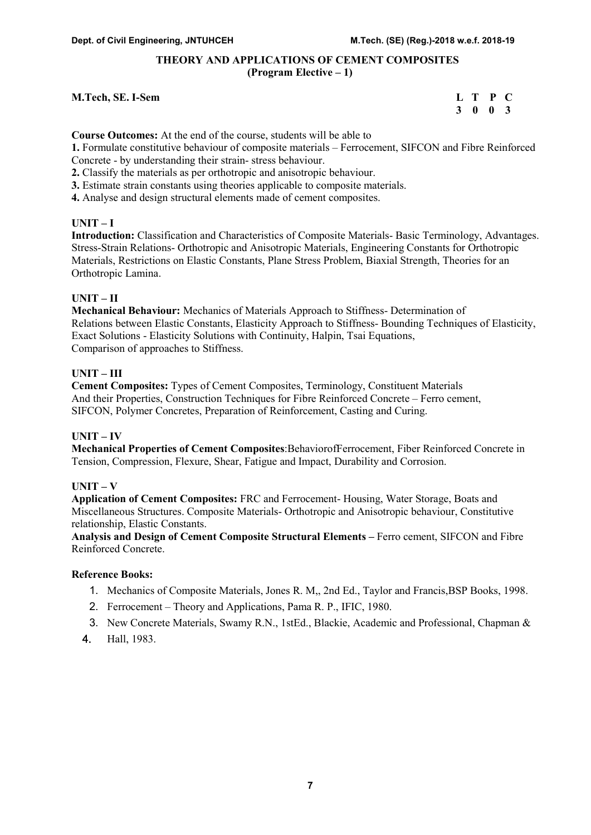# THEORY AND APPLICATIONS OF CEMENT COMPOSITES (Program Elective – 1)

#### M.Tech, SE. I-Sem L T P C

# 3 0 0 3

Course Outcomes: At the end of the course, students will be able to

1. Formulate constitutive behaviour of composite materials – Ferrocement, SIFCON and Fibre Reinforced Concrete - by understanding their strain- stress behaviour.

2. Classify the materials as per orthotropic and anisotropic behaviour.

3. Estimate strain constants using theories applicable to composite materials.

4. Analyse and design structural elements made of cement composites.

# UNIT – I

Introduction: Classification and Characteristics of Composite Materials- Basic Terminology, Advantages. Stress-Strain Relations- Orthotropic and Anisotropic Materials, Engineering Constants for Orthotropic Materials, Restrictions on Elastic Constants, Plane Stress Problem, Biaxial Strength, Theories for an Orthotropic Lamina.

# UNIT – II

Mechanical Behaviour: Mechanics of Materials Approach to Stiffness- Determination of Relations between Elastic Constants, Elasticity Approach to Stiffness- Bounding Techniques of Elasticity, Exact Solutions - Elasticity Solutions with Continuity, Halpin, Tsai Equations, Comparison of approaches to Stiffness.

# UNIT – III

Cement Composites: Types of Cement Composites, Terminology, Constituent Materials And their Properties, Construction Techniques for Fibre Reinforced Concrete – Ferro cement, SIFCON, Polymer Concretes, Preparation of Reinforcement, Casting and Curing.

# UNIT – IV

Mechanical Properties of Cement Composites:BehaviorofFerrocement, Fiber Reinforced Concrete in Tension, Compression, Flexure, Shear, Fatigue and Impact, Durability and Corrosion.

#### $UNIT - V$

Application of Cement Composites: FRC and Ferrocement- Housing, Water Storage, Boats and Miscellaneous Structures. Composite Materials- Orthotropic and Anisotropic behaviour, Constitutive relationship, Elastic Constants.

Analysis and Design of Cement Composite Structural Elements – Ferro cement, SIFCON and Fibre Reinforced Concrete.

- 1. Mechanics of Composite Materials, Jones R. M,, 2nd Ed., Taylor and Francis,BSP Books, 1998.
- 2. Ferrocement Theory and Applications, Pama R. P., IFIC, 1980.
- 3. New Concrete Materials, Swamy R.N., 1stEd., Blackie, Academic and Professional, Chapman &
- 4. Hall, 1983.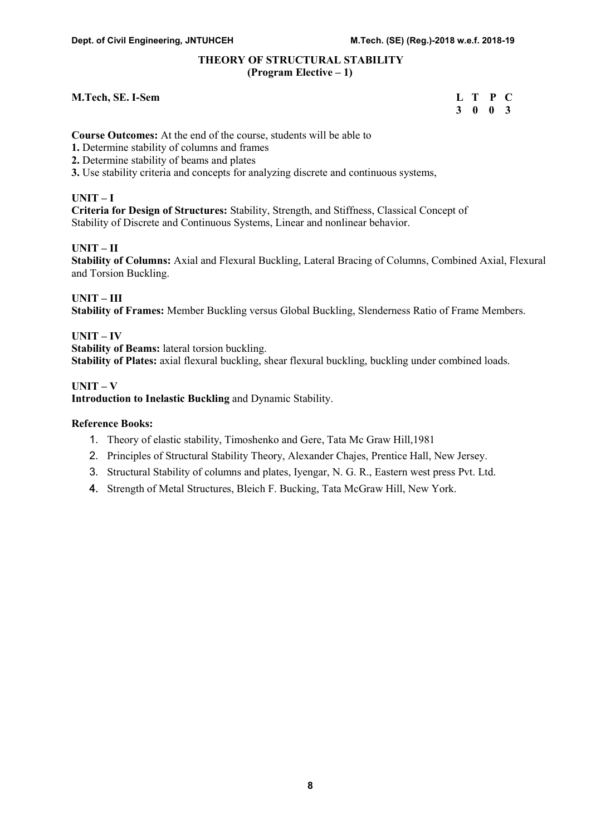# THEORY OF STRUCTURAL STABILITY (Program Elective – 1)

#### M.Tech, SE. I-Sem

| <b>M.Tech, SE. I-Sem</b> | L T P C |  |
|--------------------------|---------|--|
|                          | 3 0 0 3 |  |

Course Outcomes: At the end of the course, students will be able to

- 1. Determine stability of columns and frames
- 2. Determine stability of beams and plates
- 3. Use stability criteria and concepts for analyzing discrete and continuous systems,

#### $UNIT-I$

Criteria for Design of Structures: Stability, Strength, and Stiffness, Classical Concept of Stability of Discrete and Continuous Systems, Linear and nonlinear behavior.

#### UNIT – II

Stability of Columns: Axial and Flexural Buckling, Lateral Bracing of Columns, Combined Axial, Flexural and Torsion Buckling.

# UNIT – III

Stability of Frames: Member Buckling versus Global Buckling, Slenderness Ratio of Frame Members.

# UNIT – IV

Stability of Beams: lateral torsion buckling.

Stability of Plates: axial flexural buckling, shear flexural buckling, buckling under combined loads.

#### UNIT – V

Introduction to Inelastic Buckling and Dynamic Stability.

- 1. Theory of elastic stability, Timoshenko and Gere, Tata Mc Graw Hill,1981
- 2. Principles of Structural Stability Theory, Alexander Chajes, Prentice Hall, New Jersey.
- 3. Structural Stability of columns and plates, Iyengar, N. G. R., Eastern west press Pvt. Ltd.
- 4. Strength of Metal Structures, Bleich F. Bucking, Tata McGraw Hill, New York.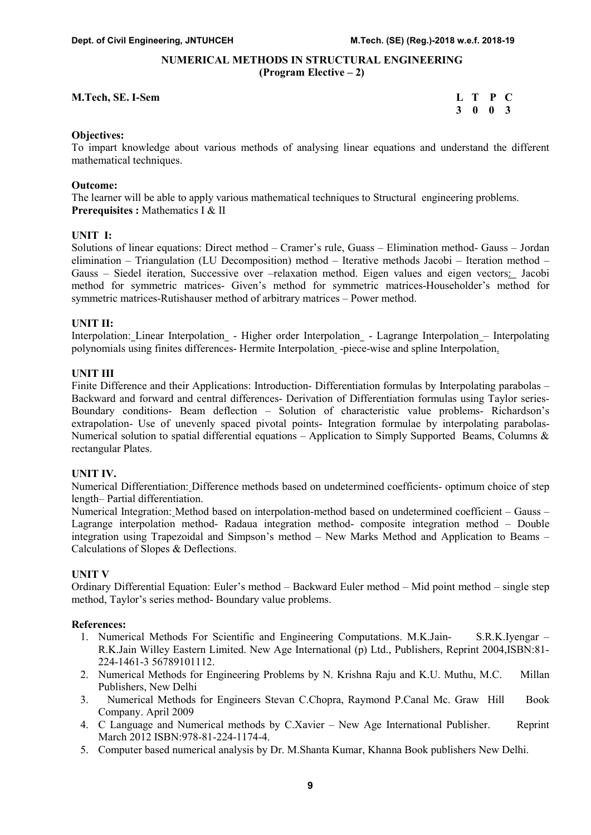# NUMERICAL METHODS IN STRUCTURAL ENGINEERING (Program Elective – 2)

#### M.Tech, SE. I-Sem L T P C

3 0 0 3

#### Objectives:

To impart knowledge about various methods of analysing linear equations and understand the different mathematical techniques.

#### Outcome:

The learner will be able to apply various mathematical techniques to Structural engineering problems. Prerequisites : Mathematics I & II

### UNIT I:

Solutions of linear equations: Direct method – Cramer's rule, Guass – Elimination method- Gauss – Jordan elimination – Triangulation (LU Decomposition) method – Iterative methods Jacobi – Iteration method – Gauss – Siedel iteration, Successive over –relaxation method. Eigen values and eigen vectors: Jacobi method for symmetric matrices- Given's method for symmetric matrices-Householder's method for symmetric matrices-Rutishauser method of arbitrary matrices – Power method.

#### UNIT II:

Interpolation: Linear Interpolation - Higher order Interpolation - Lagrange Interpolation – Interpolating polynomials using finites differences- Hermite Interpolation -piece-wise and spline Interpolation.

#### UNIT III

Finite Difference and their Applications: Introduction- Differentiation formulas by Interpolating parabolas – Backward and forward and central differences- Derivation of Differentiation formulas using Taylor series-Boundary conditions- Beam deflection – Solution of characteristic value problems- Richardson's extrapolation- Use of unevenly spaced pivotal points- Integration formulae by interpolating parabolas-Numerical solution to spatial differential equations – Application to Simply Supported Beams, Columns & rectangular Plates.

#### UNIT IV.

Numerical Differentiation: Difference methods based on undetermined coefficients- optimum choice of step length– Partial differentiation.

Numerical Integration: Method based on interpolation-method based on undetermined coefficient – Gauss – Lagrange interpolation method- Radaua integration method- composite integration method – Double integration using Trapezoidal and Simpson's method – New Marks Method and Application to Beams – Calculations of Slopes & Deflections.

#### UNIT V

Ordinary Differential Equation: Euler's method – Backward Euler method – Mid point method – single step method, Taylor's series method- Boundary value problems.

#### References:

- 1. Numerical Methods For Scientific and Engineering Computations. M.K.Jain- S.R.K.Iyengar R.K.Jain Willey Eastern Limited. New Age International (p) Ltd., Publishers, Reprint 2004,ISBN:81- 224-1461-3 56789101112.
- 2. Numerical Methods for Engineering Problems by N. Krishna Raju and K.U. Muthu, M.C. Millan Publishers, New Delhi
- 3. Numerical Methods for Engineers Stevan C.Chopra, Raymond P.Canal Mc. Graw Hill Book Company. April 2009
- 4. C Language and Numerical methods by C.Xavier New Age International Publisher. Reprint March 2012 ISBN:978-81-224-1174-4.
- 5. Computer based numerical analysis by Dr. M.Shanta Kumar, Khanna Book publishers New Delhi.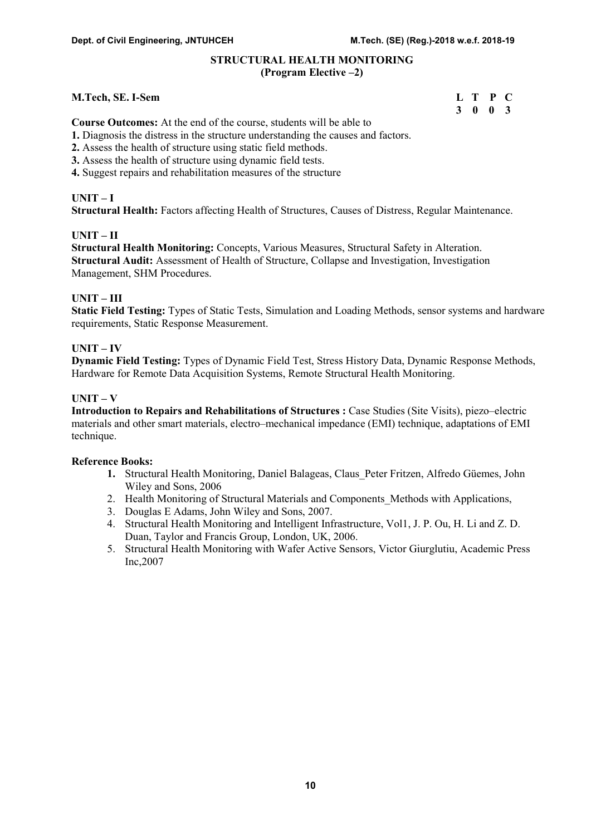### STRUCTURAL HEALTH MONITORING (Program Elective –2)

### M.Tech, SE. I-Sem

| <b>M.Tech, SE. I-Sem</b> | L T P C |         |  |
|--------------------------|---------|---------|--|
|                          |         | 3 0 0 3 |  |

Course Outcomes: At the end of the course, students will be able to

- 1. Diagnosis the distress in the structure understanding the causes and factors.
- 2. Assess the health of structure using static field methods.
- 3. Assess the health of structure using dynamic field tests.
- 4. Suggest repairs and rehabilitation measures of the structure

# $UNIT-I$

Structural Health: Factors affecting Health of Structures, Causes of Distress, Regular Maintenance.

# UNIT – II

Structural Health Monitoring: Concepts, Various Measures, Structural Safety in Alteration. Structural Audit: Assessment of Health of Structure, Collapse and Investigation, Investigation Management, SHM Procedures.

# UNIT – III

Static Field Testing: Types of Static Tests, Simulation and Loading Methods, sensor systems and hardware requirements, Static Response Measurement.

# UNIT – IV

Dynamic Field Testing: Types of Dynamic Field Test, Stress History Data, Dynamic Response Methods, Hardware for Remote Data Acquisition Systems, Remote Structural Health Monitoring.

# $$

Introduction to Repairs and Rehabilitations of Structures : Case Studies (Site Visits), piezo–electric materials and other smart materials, electro–mechanical impedance (EMI) technique, adaptations of EMI technique.

- 1. Structural Health Monitoring, Daniel Balageas, Claus\_Peter Fritzen, Alfredo Güemes, John Wiley and Sons, 2006
- 2. Health Monitoring of Structural Materials and Components\_Methods with Applications,
- 3. Douglas E Adams, John Wiley and Sons, 2007.
- 4. Structural Health Monitoring and Intelligent Infrastructure, Vol1, J. P. Ou, H. Li and Z. D. Duan, Taylor and Francis Group, London, UK, 2006.
- 5. Structural Health Monitoring with Wafer Active Sensors, Victor Giurglutiu, Academic Press Inc,2007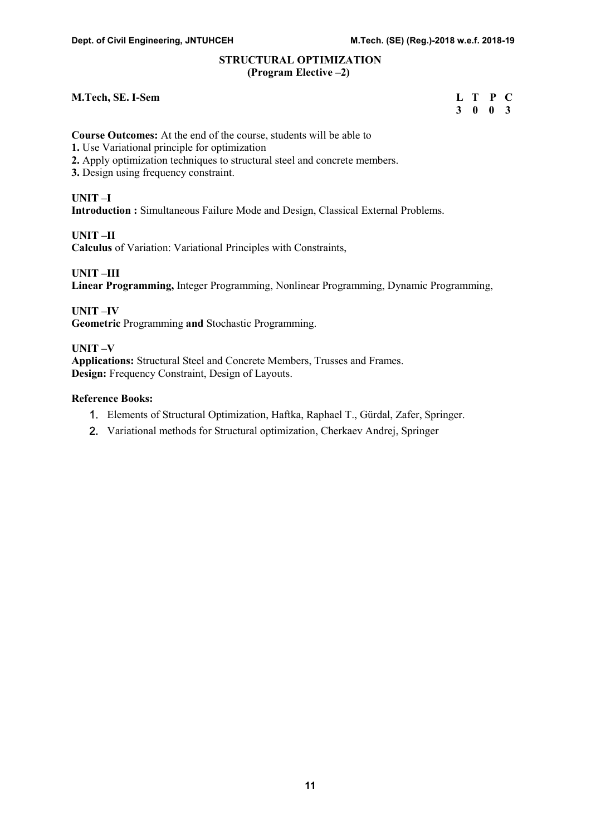#### STRUCTURAL OPTIMIZATION (Program Elective –2)

#### M.Tech, SE. I-Sem

| <b>M.Tech, SE. I-Sem</b> | L T P C         |  |
|--------------------------|-----------------|--|
|                          | $3 \t0 \t0 \t3$ |  |

Course Outcomes: At the end of the course, students will be able to

- 1. Use Variational principle for optimization
- 2. Apply optimization techniques to structural steel and concrete members.
- 3. Design using frequency constraint.

#### UNIT –I

Introduction : Simultaneous Failure Mode and Design, Classical External Problems.

UNIT –II

Calculus of Variation: Variational Principles with Constraints,

UNIT –III

Linear Programming, Integer Programming, Nonlinear Programming, Dynamic Programming,

UNIT –IV Geometric Programming and Stochastic Programming.

# UNIT –V

Applications: Structural Steel and Concrete Members, Trusses and Frames. Design: Frequency Constraint, Design of Layouts.

- 1. Elements of Structural Optimization, Haftka, Raphael T., Gürdal, Zafer, Springer.
- 2. Variational methods for Structural optimization, Cherkaev Andrej, Springer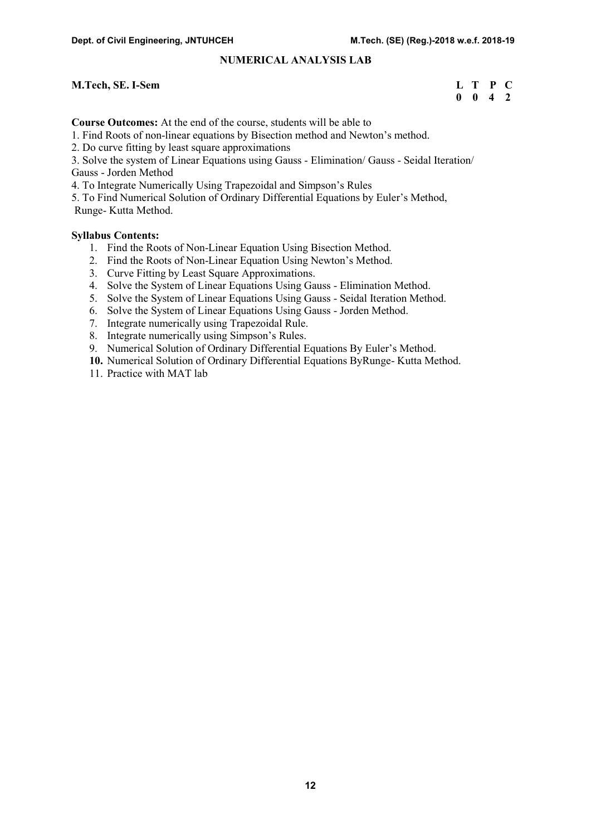### NUMERICAL ANALYSIS LAB

#### M.Tech, SE. I-Sem

| <b>M.Tech, SE. I-Sem</b> | L T P C |                    |  |
|--------------------------|---------|--------------------|--|
|                          |         | $0 \t 0 \t 4 \t 2$ |  |

Course Outcomes: At the end of the course, students will be able to

1. Find Roots of non-linear equations by Bisection method and Newton's method.

2. Do curve fitting by least square approximations

3. Solve the system of Linear Equations using Gauss - Elimination/ Gauss - Seidal Iteration/ Gauss - Jorden Method

4. To Integrate Numerically Using Trapezoidal and Simpson's Rules

5. To Find Numerical Solution of Ordinary Differential Equations by Euler's Method, Runge- Kutta Method.

#### Syllabus Contents:

- 1. Find the Roots of Non-Linear Equation Using Bisection Method.
- 2. Find the Roots of Non-Linear Equation Using Newton's Method.
- 3. Curve Fitting by Least Square Approximations.
- 4. Solve the System of Linear Equations Using Gauss Elimination Method.
- 5. Solve the System of Linear Equations Using Gauss Seidal Iteration Method.
- 6. Solve the System of Linear Equations Using Gauss Jorden Method.
- 7. Integrate numerically using Trapezoidal Rule.
- 8. Integrate numerically using Simpson's Rules.
- 9. Numerical Solution of Ordinary Differential Equations By Euler's Method.
- 10. Numerical Solution of Ordinary Differential Equations ByRunge- Kutta Method.
- 11. Practice with MAT lab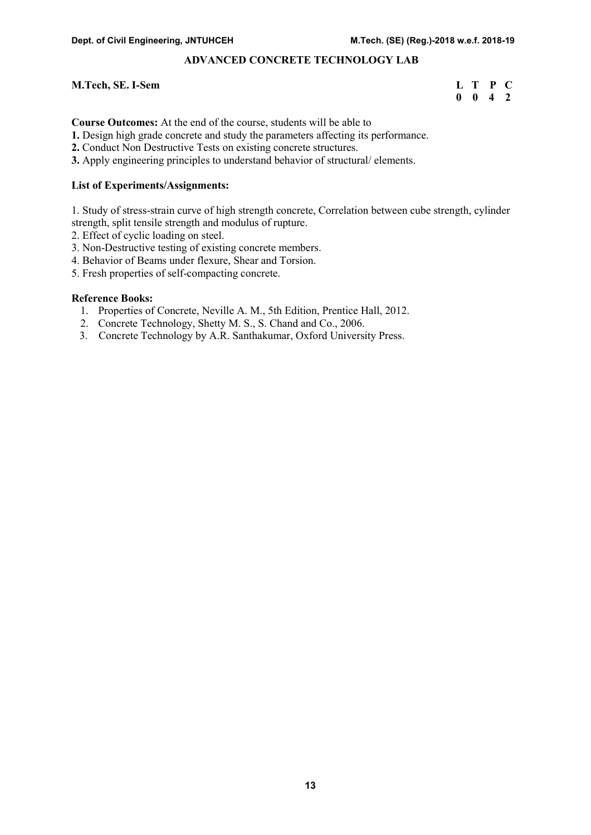# ADVANCED CONCRETE TECHNOLOGY LAB

#### M.Tech, SE. I-Sem

| <b>M.Tech, SE. I-Sem</b> | L T P C            |  |
|--------------------------|--------------------|--|
|                          | $0 \t 0 \t 4 \t 2$ |  |

Course Outcomes: At the end of the course, students will be able to

- 1. Design high grade concrete and study the parameters affecting its performance.
- 2. Conduct Non Destructive Tests on existing concrete structures.
- 3. Apply engineering principles to understand behavior of structural/ elements.

#### List of Experiments/Assignments:

1. Study of stress-strain curve of high strength concrete, Correlation between cube strength, cylinder strength, split tensile strength and modulus of rupture.

- 2. Effect of cyclic loading on steel.
- 3. Non-Destructive testing of existing concrete members.
- 4. Behavior of Beams under flexure, Shear and Torsion.
- 5. Fresh properties of self-compacting concrete.

- 1. Properties of Concrete, Neville A. M., 5th Edition, Prentice Hall, 2012.
- 2. Concrete Technology, Shetty M. S., S. Chand and Co., 2006.
- 3. Concrete Technology by A.R. Santhakumar, Oxford University Press.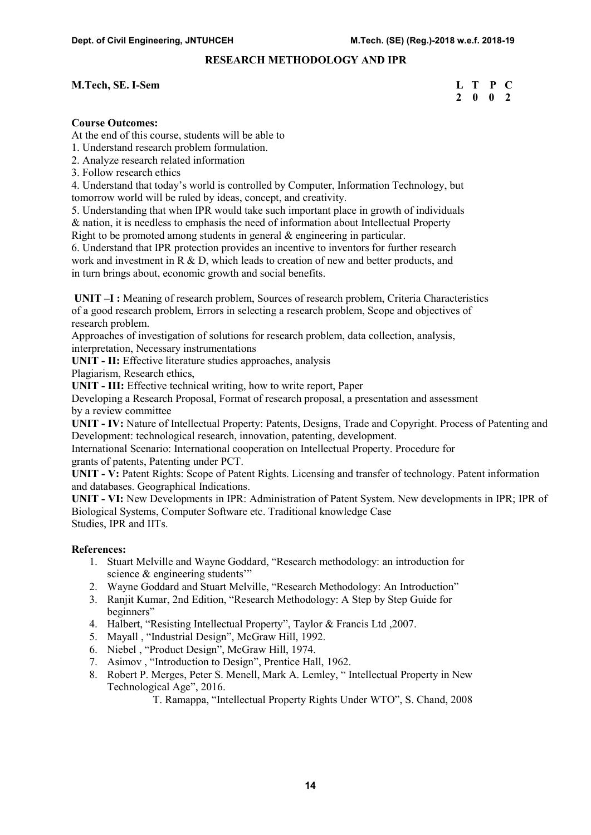# RESEARCH METHODOLOGY AND IPR

#### M.Tech, SE. I-Sem L T P C

# 2 0 0 2

# Course Outcomes:

At the end of this course, students will be able to

1. Understand research problem formulation.

- 2. Analyze research related information
- 3. Follow research ethics

4. Understand that today's world is controlled by Computer, Information Technology, but tomorrow world will be ruled by ideas, concept, and creativity.

5. Understanding that when IPR would take such important place in growth of individuals

& nation, it is needless to emphasis the need of information about Intellectual Property

Right to be promoted among students in general & engineering in particular.

6. Understand that IPR protection provides an incentive to inventors for further research work and investment in R & D, which leads to creation of new and better products, and in turn brings about, economic growth and social benefits.

 UNIT –I : Meaning of research problem, Sources of research problem, Criteria Characteristics of a good research problem, Errors in selecting a research problem, Scope and objectives of research problem.

Approaches of investigation of solutions for research problem, data collection, analysis, interpretation, Necessary instrumentations

UNIT - II: Effective literature studies approaches, analysis

Plagiarism, Research ethics,

UNIT - III: Effective technical writing, how to write report, Paper

Developing a Research Proposal, Format of research proposal, a presentation and assessment by a review committee

UNIT - IV: Nature of Intellectual Property: Patents, Designs, Trade and Copyright. Process of Patenting and Development: technological research, innovation, patenting, development.

International Scenario: International cooperation on Intellectual Property. Procedure for grants of patents, Patenting under PCT.

UNIT - V: Patent Rights: Scope of Patent Rights. Licensing and transfer of technology. Patent information and databases. Geographical Indications.

UNIT - VI: New Developments in IPR: Administration of Patent System. New developments in IPR; IPR of Biological Systems, Computer Software etc. Traditional knowledge Case Studies, IPR and IITs.

#### References:

- 1. Stuart Melville and Wayne Goddard, "Research methodology: an introduction for science & engineering students'"
- 2. Wayne Goddard and Stuart Melville, "Research Methodology: An Introduction"
- 3. Ranjit Kumar, 2nd Edition, "Research Methodology: A Step by Step Guide for beginners"
- 4. Halbert, "Resisting Intellectual Property", Taylor & Francis Ltd ,2007.
- 5. Mayall , "Industrial Design", McGraw Hill, 1992.
- 6. Niebel , "Product Design", McGraw Hill, 1974.
- 7. Asimov , "Introduction to Design", Prentice Hall, 1962.
- 8. Robert P. Merges, Peter S. Menell, Mark A. Lemley, " Intellectual Property in New Technological Age", 2016.

T. Ramappa, "Intellectual Property Rights Under WTO", S. Chand, 2008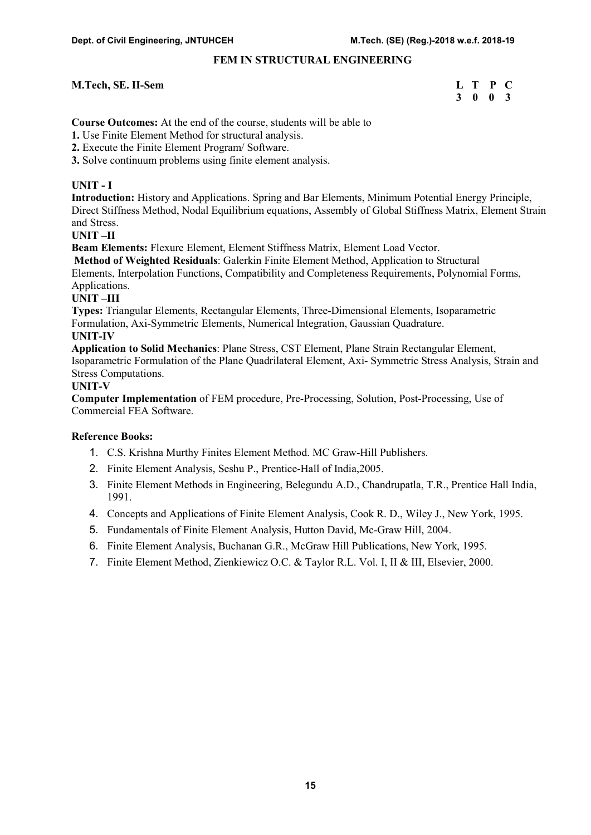# FEM IN STRUCTURAL ENGINEERING

#### M.Tech, SE. II-Sem L T P C

# 3 0 0 3

Course Outcomes: At the end of the course, students will be able to

1. Use Finite Element Method for structural analysis.

2. Execute the Finite Element Program/ Software.

3. Solve continuum problems using finite element analysis.

# UNIT - I

Introduction: History and Applications. Spring and Bar Elements, Minimum Potential Energy Principle, Direct Stiffness Method, Nodal Equilibrium equations, Assembly of Global Stiffness Matrix, Element Strain and Stress.

# UNIT –II

Beam Elements: Flexure Element, Element Stiffness Matrix, Element Load Vector.

Method of Weighted Residuals: Galerkin Finite Element Method, Application to Structural Elements, Interpolation Functions, Compatibility and Completeness Requirements, Polynomial Forms, Applications.

# UNIT –III

Types: Triangular Elements, Rectangular Elements, Three-Dimensional Elements, Isoparametric Formulation, Axi-Symmetric Elements, Numerical Integration, Gaussian Quadrature.

#### UNIT-IV

Application to Solid Mechanics: Plane Stress, CST Element, Plane Strain Rectangular Element, Isoparametric Formulation of the Plane Quadrilateral Element, Axi- Symmetric Stress Analysis, Strain and Stress Computations.

# UNIT-V

Computer Implementation of FEM procedure, Pre-Processing, Solution, Post-Processing, Use of Commercial FEA Software.

- 1. C.S. Krishna Murthy Finites Element Method. MC Graw-Hill Publishers.
- 2. Finite Element Analysis, Seshu P., Prentice-Hall of India,2005.
- 3. Finite Element Methods in Engineering, Belegundu A.D., Chandrupatla, T.R., Prentice Hall India, 1991.
- 4. Concepts and Applications of Finite Element Analysis, Cook R. D., Wiley J., New York, 1995.
- 5. Fundamentals of Finite Element Analysis, Hutton David, Mc-Graw Hill, 2004.
- 6. Finite Element Analysis, Buchanan G.R., McGraw Hill Publications, New York, 1995.
- 7. Finite Element Method, Zienkiewicz O.C. & Taylor R.L. Vol. I, II & III, Elsevier, 2000.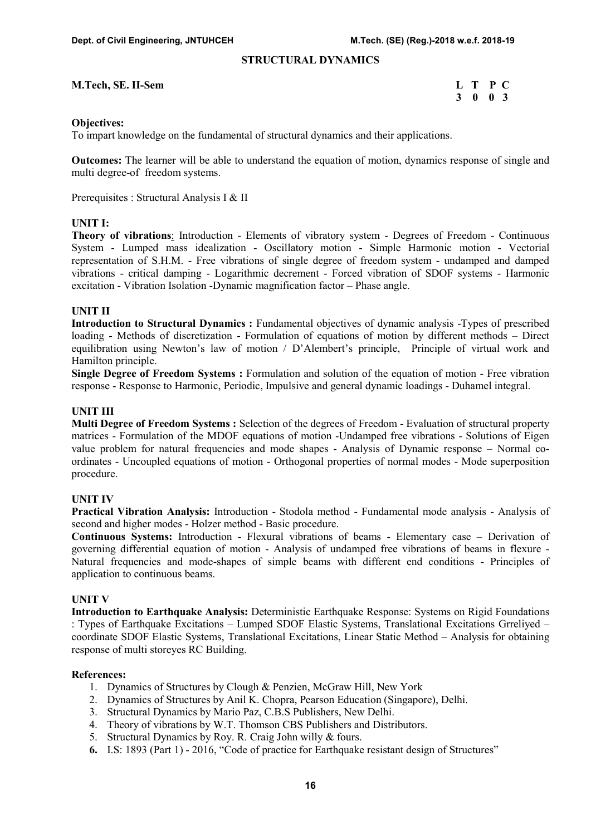#### STRUCTURAL DYNAMICS

| M.Tech, SE. II-Sem |  |  | L T P C |  |
|--------------------|--|--|---------|--|
|--------------------|--|--|---------|--|

| <b>M.Tech, SE. II-Sem</b> | L T P C |  |
|---------------------------|---------|--|
|                           | 3 0 0 3 |  |

#### Objectives:

To impart knowledge on the fundamental of structural dynamics and their applications.

Outcomes: The learner will be able to understand the equation of motion, dynamics response of single and multi degree-of freedom systems.

Prerequisites : Structural Analysis I & II

#### UNIT I:

Theory of vibrations: Introduction - Elements of vibratory system - Degrees of Freedom - Continuous System - Lumped mass idealization - Oscillatory motion - Simple Harmonic motion - Vectorial representation of S.H.M. - Free vibrations of single degree of freedom system - undamped and damped vibrations - critical damping - Logarithmic decrement - Forced vibration of SDOF systems - Harmonic excitation - Vibration Isolation -Dynamic magnification factor – Phase angle.

#### UNIT II

Introduction to Structural Dynamics : Fundamental objectives of dynamic analysis -Types of prescribed loading - Methods of discretization - Formulation of equations of motion by different methods – Direct equilibration using Newton's law of motion / D'Alembert's principle, Principle of virtual work and Hamilton principle.

Single Degree of Freedom Systems : Formulation and solution of the equation of motion - Free vibration response - Response to Harmonic, Periodic, Impulsive and general dynamic loadings - Duhamel integral.

# UNIT III

Multi Degree of Freedom Systems : Selection of the degrees of Freedom - Evaluation of structural property matrices - Formulation of the MDOF equations of motion -Undamped free vibrations - Solutions of Eigen value problem for natural frequencies and mode shapes - Analysis of Dynamic response – Normal coordinates - Uncoupled equations of motion - Orthogonal properties of normal modes - Mode superposition procedure.

#### UNIT IV

Practical Vibration Analysis: Introduction - Stodola method - Fundamental mode analysis - Analysis of second and higher modes - Holzer method - Basic procedure.

Continuous Systems: Introduction - Flexural vibrations of beams - Elementary case – Derivation of governing differential equation of motion - Analysis of undamped free vibrations of beams in flexure - Natural frequencies and mode-shapes of simple beams with different end conditions - Principles of application to continuous beams.

#### UNIT V

Introduction to Earthquake Analysis: Deterministic Earthquake Response: Systems on Rigid Foundations : Types of Earthquake Excitations – Lumped SDOF Elastic Systems, Translational Excitations Grreliyed – coordinate SDOF Elastic Systems, Translational Excitations, Linear Static Method – Analysis for obtaining response of multi storeyes RC Building.

#### References:

- 1. Dynamics of Structures by Clough & Penzien, McGraw Hill, New York
- 2. Dynamics of Structures by Anil K. Chopra, Pearson Education (Singapore), Delhi.
- 3. Structural Dynamics by Mario Paz, C.B.S Publishers, New Delhi.
- 4. Theory of vibrations by W.T. Thomson CBS Publishers and Distributors.
- 5. Structural Dynamics by Roy. R. Craig John willy & fours.
- 6. I.S: 1893 (Part 1) 2016, "Code of practice for Earthquake resistant design of Structures"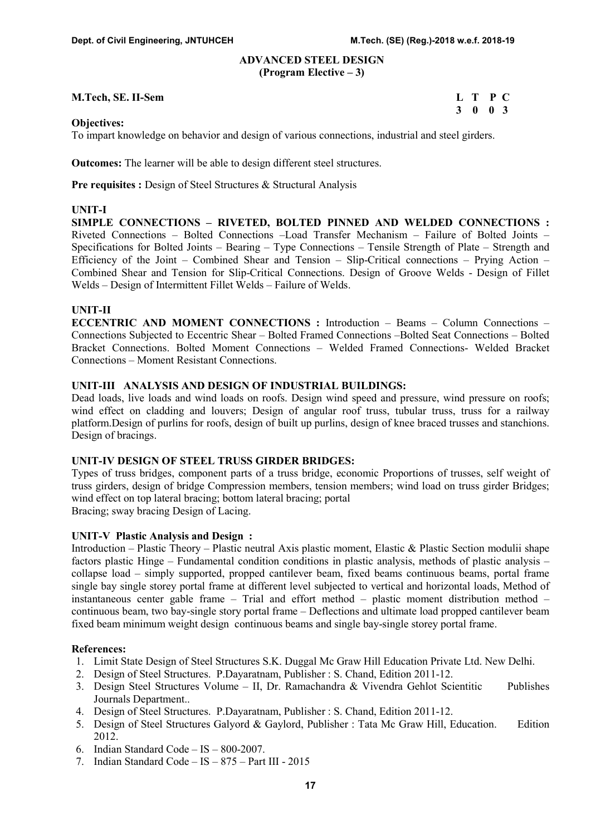#### ADVANCED STEEL DESIGN (Program Elective – 3)

#### M.Tech, SE. II-Sem L T P C

3 0 0 3

#### Objectives:

To impart knowledge on behavior and design of various connections, industrial and steel girders.

Outcomes: The learner will be able to design different steel structures.

Pre requisites : Design of Steel Structures & Structural Analysis

#### UNIT-I

SIMPLE CONNECTIONS – RIVETED, BOLTED PINNED AND WELDED CONNECTIONS : Riveted Connections – Bolted Connections –Load Transfer Mechanism – Failure of Bolted Joints – Specifications for Bolted Joints – Bearing – Type Connections – Tensile Strength of Plate – Strength and Efficiency of the Joint – Combined Shear and Tension – Slip-Critical connections – Prying Action – Combined Shear and Tension for Slip-Critical Connections. Design of Groove Welds - Design of Fillet Welds – Design of Intermittent Fillet Welds – Failure of Welds.

#### UNIT-II

ECCENTRIC AND MOMENT CONNECTIONS : Introduction – Beams – Column Connections – Connections Subjected to Eccentric Shear – Bolted Framed Connections –Bolted Seat Connections – Bolted Bracket Connections. Bolted Moment Connections – Welded Framed Connections- Welded Bracket Connections – Moment Resistant Connections.

#### UNIT-III ANALYSIS AND DESIGN OF INDUSTRIAL BUILDINGS:

Dead loads, live loads and wind loads on roofs. Design wind speed and pressure, wind pressure on roofs; wind effect on cladding and louvers; Design of angular roof truss, tubular truss, truss for a railway platform.Design of purlins for roofs, design of built up purlins, design of knee braced trusses and stanchions. Design of bracings.

#### UNIT-IV DESIGN OF STEEL TRUSS GIRDER BRIDGES:

Types of truss bridges, component parts of a truss bridge, economic Proportions of trusses, self weight of truss girders, design of bridge Compression members, tension members; wind load on truss girder Bridges; wind effect on top lateral bracing; bottom lateral bracing; portal

Bracing; sway bracing Design of Lacing.

#### UNIT-V Plastic Analysis and Design :

Introduction – Plastic Theory – Plastic neutral Axis plastic moment, Elastic & Plastic Section modulii shape factors plastic Hinge – Fundamental condition conditions in plastic analysis, methods of plastic analysis – collapse load – simply supported, propped cantilever beam, fixed beams continuous beams, portal frame single bay single storey portal frame at different level subjected to vertical and horizontal loads, Method of instantaneous center gable frame – Trial and effort method – plastic moment distribution method – continuous beam, two bay-single story portal frame – Deflections and ultimate load propped cantilever beam fixed beam minimum weight design continuous beams and single bay-single storey portal frame.

#### References:

- 1. Limit State Design of Steel Structures S.K. Duggal Mc Graw Hill Education Private Ltd. New Delhi.
- 2. Design of Steel Structures. P.Dayaratnam, Publisher : S. Chand, Edition 2011-12.
- 3. Design Steel Structures Volume II, Dr. Ramachandra & Vivendra Gehlot Scientitic Publishes Journals Department..
- 4. Design of Steel Structures. P.Dayaratnam, Publisher : S. Chand, Edition 2011-12.
- 5. Design of Steel Structures Galyord & Gaylord, Publisher : Tata Mc Graw Hill, Education. Edition 2012.
- 6. Indian Standard Code IS 800-2007.
- 7. Indian Standard Code IS 875 Part III 2015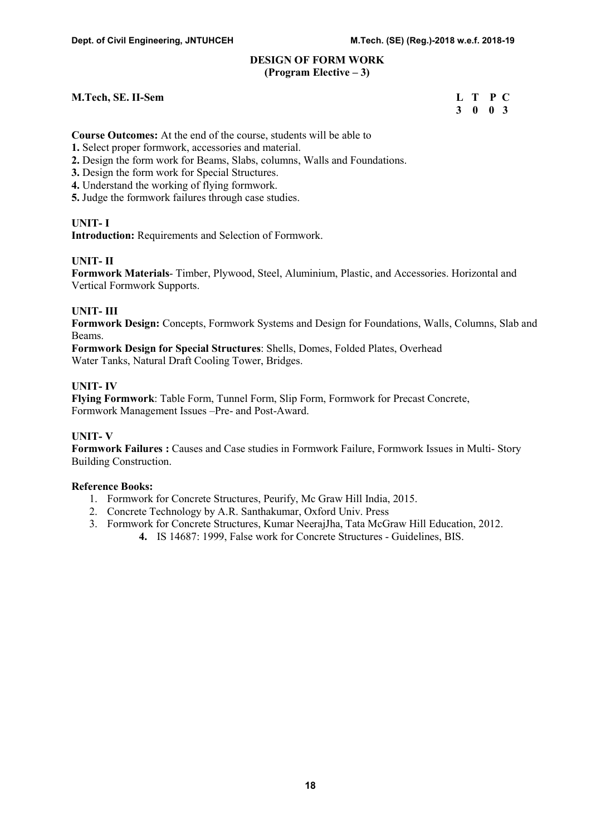#### DESIGN OF FORM WORK (Program Elective – 3)

#### M.Tech, SE. II-Sem L T P C

3 0 0 3

Course Outcomes: At the end of the course, students will be able to

- 1. Select proper formwork, accessories and material.
- 2. Design the form work for Beams, Slabs, columns, Walls and Foundations.
- 3. Design the form work for Special Structures.
- 4. Understand the working of flying formwork.
- 5. Judge the formwork failures through case studies.

# UNIT- I

Introduction: Requirements and Selection of Formwork.

# UNIT- II

Formwork Materials- Timber, Plywood, Steel, Aluminium, Plastic, and Accessories. Horizontal and Vertical Formwork Supports.

# UNIT- III

Formwork Design: Concepts, Formwork Systems and Design for Foundations, Walls, Columns, Slab and Beams.

Formwork Design for Special Structures: Shells, Domes, Folded Plates, Overhead Water Tanks, Natural Draft Cooling Tower, Bridges.

# UNIT- IV

Flying Formwork: Table Form, Tunnel Form, Slip Form, Formwork for Precast Concrete, Formwork Management Issues –Pre- and Post-Award.

# UNIT- V

Formwork Failures : Causes and Case studies in Formwork Failure, Formwork Issues in Multi- Story Building Construction.

- 1. Formwork for Concrete Structures, Peurify, Mc Graw Hill India, 2015.
- 2. Concrete Technology by A.R. Santhakumar, Oxford Univ. Press
- 3. Formwork for Concrete Structures, Kumar NeerajJha, Tata McGraw Hill Education, 2012.
	- 4. IS 14687: 1999, False work for Concrete Structures Guidelines, BIS.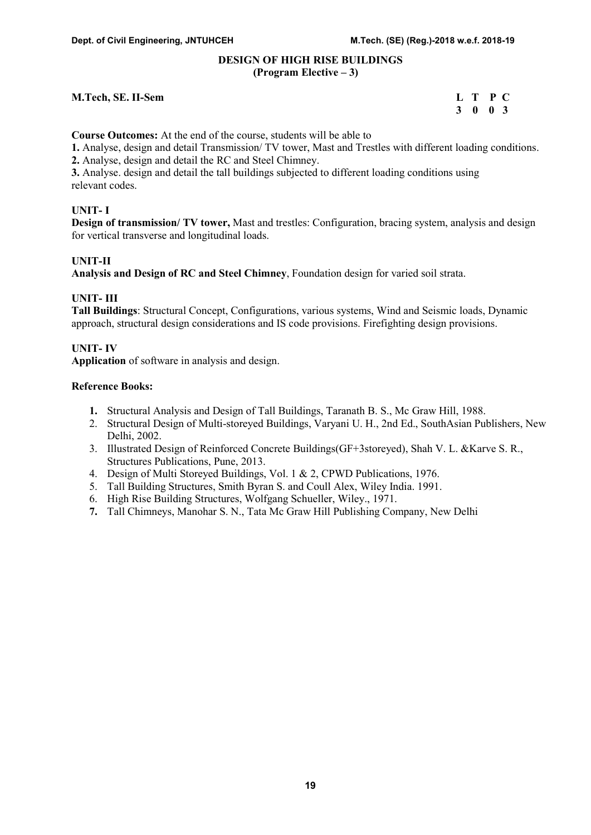#### DESIGN OF HIGH RISE BUILDINGS (Program Elective – 3)

#### M.Tech, SE. II-Sem L T P C

# 3 0 0 3

Course Outcomes: At the end of the course, students will be able to

1. Analyse, design and detail Transmission/ TV tower, Mast and Trestles with different loading conditions.

2. Analyse, design and detail the RC and Steel Chimney.

3. Analyse. design and detail the tall buildings subjected to different loading conditions using relevant codes.

# UNIT- I

Design of transmission/ TV tower, Mast and trestles: Configuration, bracing system, analysis and design for vertical transverse and longitudinal loads.

# UNIT-II

Analysis and Design of RC and Steel Chimney, Foundation design for varied soil strata.

# UNIT- III

Tall Buildings: Structural Concept, Configurations, various systems, Wind and Seismic loads, Dynamic approach, structural design considerations and IS code provisions. Firefighting design provisions.

# UNIT- IV

Application of software in analysis and design.

- 1. Structural Analysis and Design of Tall Buildings, Taranath B. S., Mc Graw Hill, 1988.
- 2. Structural Design of Multi-storeyed Buildings, Varyani U. H., 2nd Ed., SouthAsian Publishers, New Delhi, 2002.
- 3. Illustrated Design of Reinforced Concrete Buildings(GF+3storeyed), Shah V. L. &Karve S. R., Structures Publications, Pune, 2013.
- 4. Design of Multi Storeyed Buildings, Vol. 1 & 2, CPWD Publications, 1976.
- 5. Tall Building Structures, Smith Byran S. and Coull Alex, Wiley India. 1991.
- 6. High Rise Building Structures, Wolfgang Schueller, Wiley., 1971.
- 7. Tall Chimneys, Manohar S. N., Tata Mc Graw Hill Publishing Company, New Delhi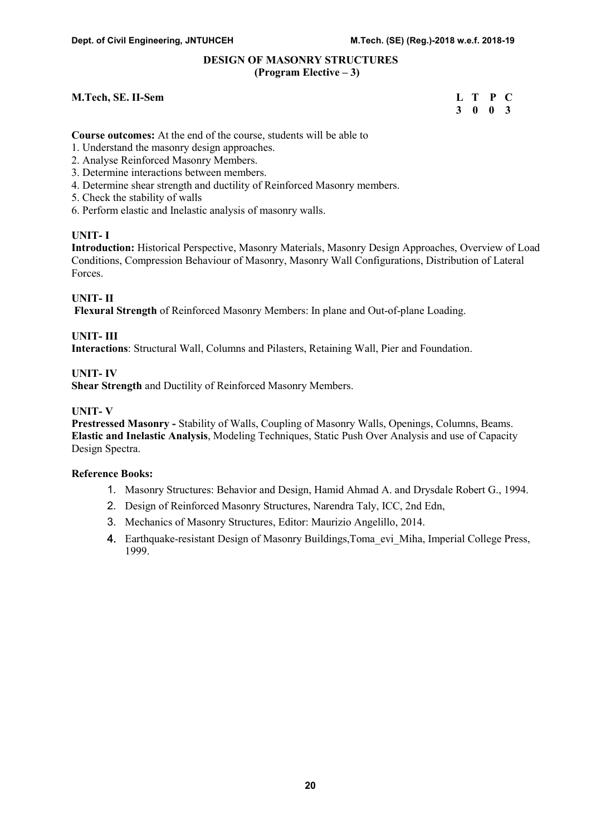#### DESIGN OF MASONRY STRUCTURES (Program Elective – 3)

#### M.Tech, SE. II-Sem

| <b>M.Tech, SE. II-Sem</b> | L T P C         |  |
|---------------------------|-----------------|--|
|                           | $3 \t0 \t0 \t3$ |  |

Course outcomes: At the end of the course, students will be able to

- 1. Understand the masonry design approaches.
- 2. Analyse Reinforced Masonry Members.
- 3. Determine interactions between members.
- 4. Determine shear strength and ductility of Reinforced Masonry members.
- 5. Check the stability of walls
- 6. Perform elastic and Inelastic analysis of masonry walls.

#### UNIT- I

Introduction: Historical Perspective, Masonry Materials, Masonry Design Approaches, Overview of Load Conditions, Compression Behaviour of Masonry, Masonry Wall Configurations, Distribution of Lateral Forces.

#### UNIT- II

Flexural Strength of Reinforced Masonry Members: In plane and Out-of-plane Loading.

#### UNIT- III

Interactions: Structural Wall, Columns and Pilasters, Retaining Wall, Pier and Foundation.

#### UNIT- IV

Shear Strength and Ductility of Reinforced Masonry Members.

#### UNIT- V

Prestressed Masonry - Stability of Walls, Coupling of Masonry Walls, Openings, Columns, Beams. Elastic and Inelastic Analysis, Modeling Techniques, Static Push Over Analysis and use of Capacity Design Spectra.

- 1. Masonry Structures: Behavior and Design, Hamid Ahmad A. and Drysdale Robert G., 1994.
- 2. Design of Reinforced Masonry Structures, Narendra Taly, ICC, 2nd Edn,
- 3. Mechanics of Masonry Structures, Editor: Maurizio Angelillo, 2014.
- 4. Earthquake-resistant Design of Masonry Buildings, Toma evi Miha, Imperial College Press, 1999.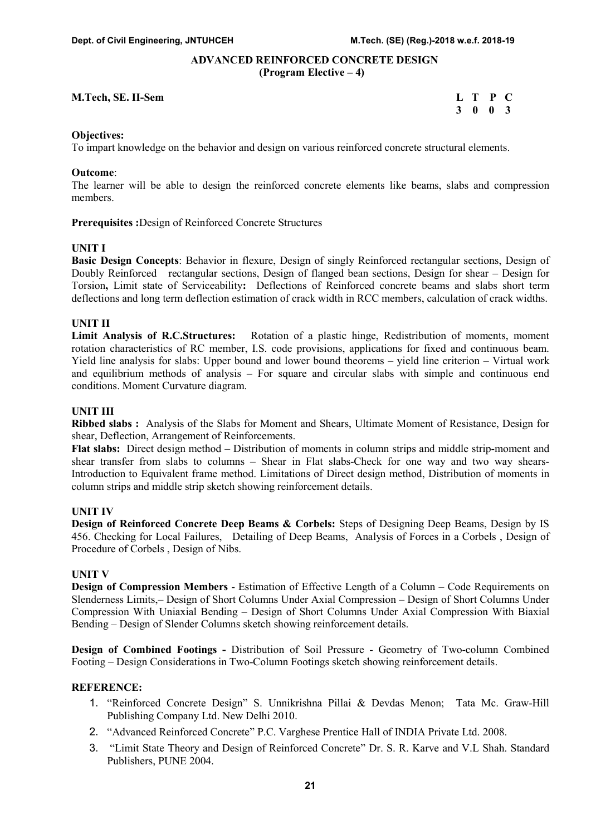#### ADVANCED REINFORCED CONCRETE DESIGN (Program Elective – 4)

#### M.Tech, SE. II-Sem L T P C

3 0 0 3

#### Objectives:

To impart knowledge on the behavior and design on various reinforced concrete structural elements.

#### Outcome:

The learner will be able to design the reinforced concrete elements like beams, slabs and compression members.

Prerequisites :Design of Reinforced Concrete Structures

#### UNIT I

Basic Design Concepts: Behavior in flexure, Design of singly Reinforced rectangular sections, Design of Doubly Reinforced rectangular sections, Design of flanged bean sections, Design for shear – Design for Torsion, Limit state of Serviceability: Deflections of Reinforced concrete beams and slabs short term deflections and long term deflection estimation of crack width in RCC members, calculation of crack widths.

#### UNIT II

Limit Analysis of R.C.Structures: Rotation of a plastic hinge, Redistribution of moments, moment rotation characteristics of RC member, I.S. code provisions, applications for fixed and continuous beam. Yield line analysis for slabs: Upper bound and lower bound theorems – yield line criterion – Virtual work and equilibrium methods of analysis – For square and circular slabs with simple and continuous end conditions. Moment Curvature diagram.

# UNIT III

Ribbed slabs : Analysis of the Slabs for Moment and Shears, Ultimate Moment of Resistance, Design for shear, Deflection, Arrangement of Reinforcements.

Flat slabs: Direct design method – Distribution of moments in column strips and middle strip-moment and shear transfer from slabs to columns – Shear in Flat slabs-Check for one way and two way shears-Introduction to Equivalent frame method. Limitations of Direct design method, Distribution of moments in column strips and middle strip sketch showing reinforcement details.

#### UNIT IV

Design of Reinforced Concrete Deep Beams & Corbels: Steps of Designing Deep Beams, Design by IS 456. Checking for Local Failures, Detailing of Deep Beams, Analysis of Forces in a Corbels , Design of Procedure of Corbels , Design of Nibs.

#### UNIT V

Design of Compression Members - Estimation of Effective Length of a Column – Code Requirements on Slenderness Limits,– Design of Short Columns Under Axial Compression – Design of Short Columns Under Compression With Uniaxial Bending – Design of Short Columns Under Axial Compression With Biaxial Bending – Design of Slender Columns sketch showing reinforcement details.

Design of Combined Footings - Distribution of Soil Pressure - Geometry of Two-column Combined Footing – Design Considerations in Two-Column Footings sketch showing reinforcement details.

- 1. "Reinforced Concrete Design" S. Unnikrishna Pillai & Devdas Menon; Tata Mc. Graw-Hill Publishing Company Ltd. New Delhi 2010.
- 2. "Advanced Reinforced Concrete" P.C. Varghese Prentice Hall of INDIA Private Ltd. 2008.
- 3. "Limit State Theory and Design of Reinforced Concrete" Dr. S. R. Karve and V.L Shah. Standard Publishers, PUNE 2004.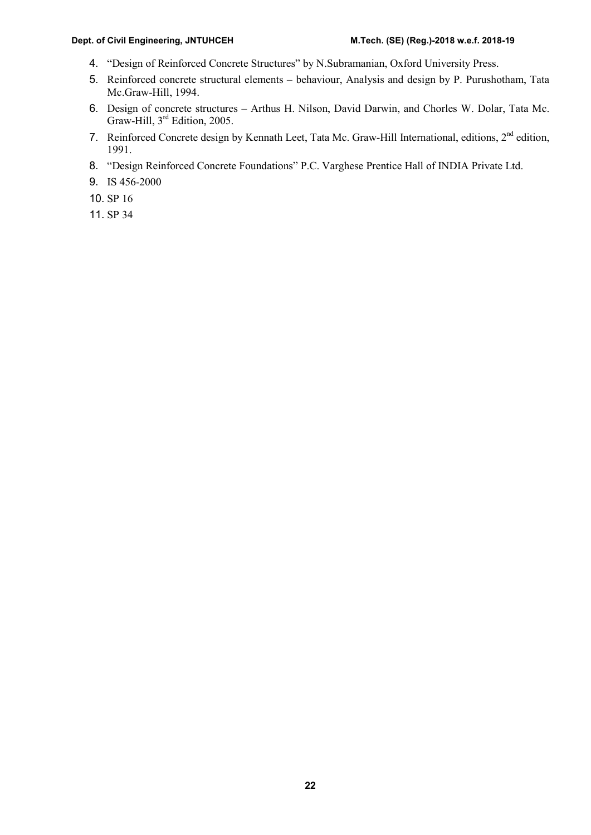#### Dept. of Civil Engineering, JNTUHCEH M.Tech. (SE) (Reg.)-2018 w.e.f. 2018-19

- 4. "Design of Reinforced Concrete Structures" by N.Subramanian, Oxford University Press.
- 5. Reinforced concrete structural elements behaviour, Analysis and design by P. Purushotham, Tata Mc.Graw-Hill, 1994.
- 6. Design of concrete structures Arthus H. Nilson, David Darwin, and Chorles W. Dolar, Tata Mc. Graw-Hill, 3<sup>rd</sup> Edition, 2005.
- 7. Reinforced Concrete design by Kennath Leet, Tata Mc. Graw-Hill International, editions, 2<sup>nd</sup> edition, 1991.
- 8. "Design Reinforced Concrete Foundations" P.C. Varghese Prentice Hall of INDIA Private Ltd.
- 9. IS 456-2000
- 10. SP 16
- 11. SP 34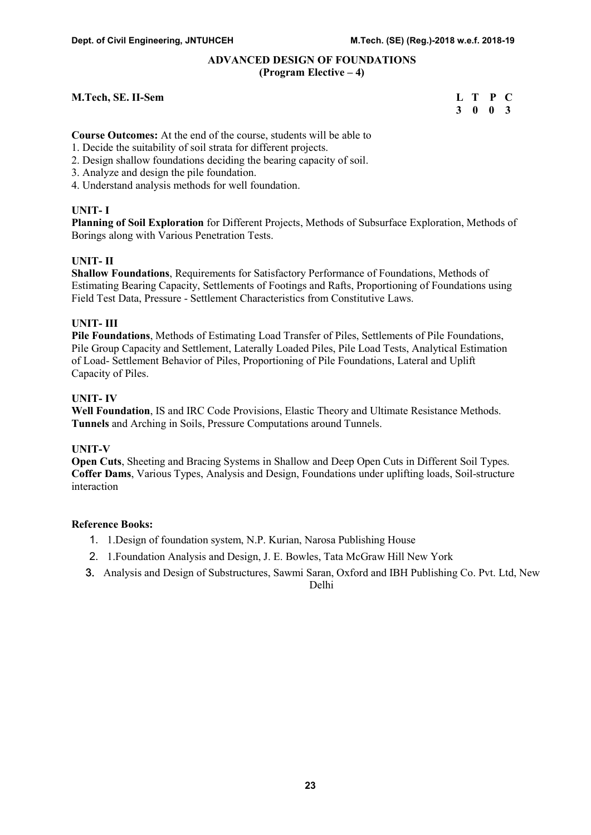# ADVANCED DESIGN OF FOUNDATIONS (Program Elective – 4)

#### M.Tech, SE. II-Sem

| <b>M.Tech, SE. II-Sem</b> | L T P C |  |  |
|---------------------------|---------|--|--|
|                           | 3 0 0 3 |  |  |

Course Outcomes: At the end of the course, students will be able to

- 1. Decide the suitability of soil strata for different projects.
- 2. Design shallow foundations deciding the bearing capacity of soil.
- 3. Analyze and design the pile foundation.
- 4. Understand analysis methods for well foundation.

# UNIT- I

Planning of Soil Exploration for Different Projects, Methods of Subsurface Exploration, Methods of Borings along with Various Penetration Tests.

# UNIT- II

Shallow Foundations, Requirements for Satisfactory Performance of Foundations, Methods of Estimating Bearing Capacity, Settlements of Footings and Rafts, Proportioning of Foundations using Field Test Data, Pressure - Settlement Characteristics from Constitutive Laws.

# UNIT- III

Pile Foundations, Methods of Estimating Load Transfer of Piles, Settlements of Pile Foundations, Pile Group Capacity and Settlement, Laterally Loaded Piles, Pile Load Tests, Analytical Estimation of Load- Settlement Behavior of Piles, Proportioning of Pile Foundations, Lateral and Uplift Capacity of Piles.

#### UNIT- IV

Well Foundation, IS and IRC Code Provisions, Elastic Theory and Ultimate Resistance Methods. Tunnels and Arching in Soils, Pressure Computations around Tunnels.

#### UNIT-V

Open Cuts, Sheeting and Bracing Systems in Shallow and Deep Open Cuts in Different Soil Types. Coffer Dams, Various Types, Analysis and Design, Foundations under uplifting loads, Soil-structure interaction

#### Reference Books:

- 1. 1.Design of foundation system, N.P. Kurian, Narosa Publishing House
- 2. 1.Foundation Analysis and Design, J. E. Bowles, Tata McGraw Hill New York
- 3. Analysis and Design of Substructures, Sawmi Saran, Oxford and IBH Publishing Co. Pvt. Ltd, New

Delhi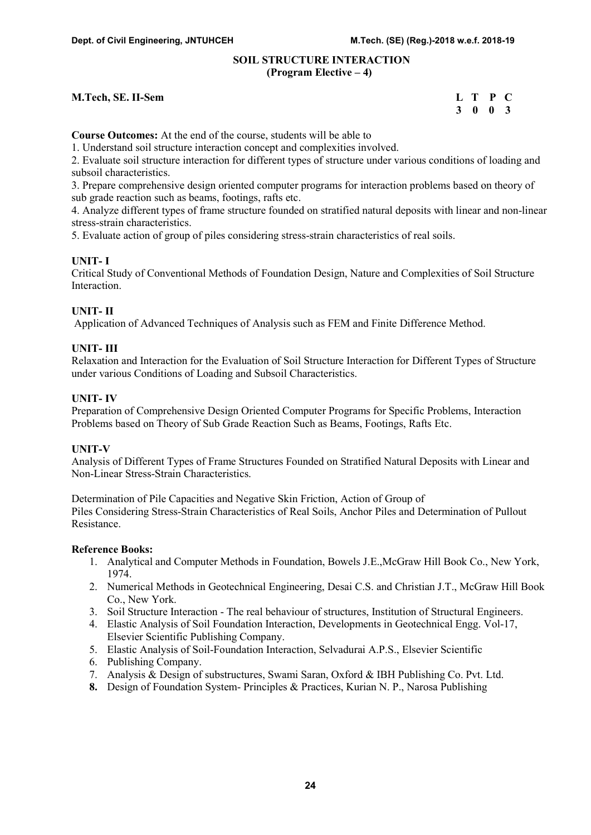#### SOIL STRUCTURE INTERACTION (Program Elective – 4)

#### M.Tech, SE. II-Sem

| M.Tech, SE. II-Sem | L T P C         |  |
|--------------------|-----------------|--|
|                    | $3 \t0 \t0 \t3$ |  |

Course Outcomes: At the end of the course, students will be able to

1. Understand soil structure interaction concept and complexities involved.

2. Evaluate soil structure interaction for different types of structure under various conditions of loading and subsoil characteristics.

3. Prepare comprehensive design oriented computer programs for interaction problems based on theory of sub grade reaction such as beams, footings, rafts etc.

4. Analyze different types of frame structure founded on stratified natural deposits with linear and non-linear stress-strain characteristics.

5. Evaluate action of group of piles considering stress-strain characteristics of real soils.

#### UNIT- I

Critical Study of Conventional Methods of Foundation Design, Nature and Complexities of Soil Structure Interaction.

#### UNIT- II

Application of Advanced Techniques of Analysis such as FEM and Finite Difference Method.

#### UNIT- III

Relaxation and Interaction for the Evaluation of Soil Structure Interaction for Different Types of Structure under various Conditions of Loading and Subsoil Characteristics.

#### UNIT- IV

Preparation of Comprehensive Design Oriented Computer Programs for Specific Problems, Interaction Problems based on Theory of Sub Grade Reaction Such as Beams, Footings, Rafts Etc.

#### UNIT-V

Analysis of Different Types of Frame Structures Founded on Stratified Natural Deposits with Linear and Non-Linear Stress-Strain Characteristics.

Determination of Pile Capacities and Negative Skin Friction, Action of Group of Piles Considering Stress-Strain Characteristics of Real Soils, Anchor Piles and Determination of Pullout Resistance.

- 1. Analytical and Computer Methods in Foundation, Bowels J.E.,McGraw Hill Book Co., New York, 1974.
- 2. Numerical Methods in Geotechnical Engineering, Desai C.S. and Christian J.T., McGraw Hill Book Co., New York.
- 3. Soil Structure Interaction The real behaviour of structures, Institution of Structural Engineers.
- 4. Elastic Analysis of Soil Foundation Interaction, Developments in Geotechnical Engg. Vol-17, Elsevier Scientific Publishing Company.
- 5. Elastic Analysis of Soil-Foundation Interaction, Selvadurai A.P.S., Elsevier Scientific
- 6. Publishing Company.
- 7. Analysis & Design of substructures, Swami Saran, Oxford & IBH Publishing Co. Pvt. Ltd.
- 8. Design of Foundation System- Principles & Practices, Kurian N. P., Narosa Publishing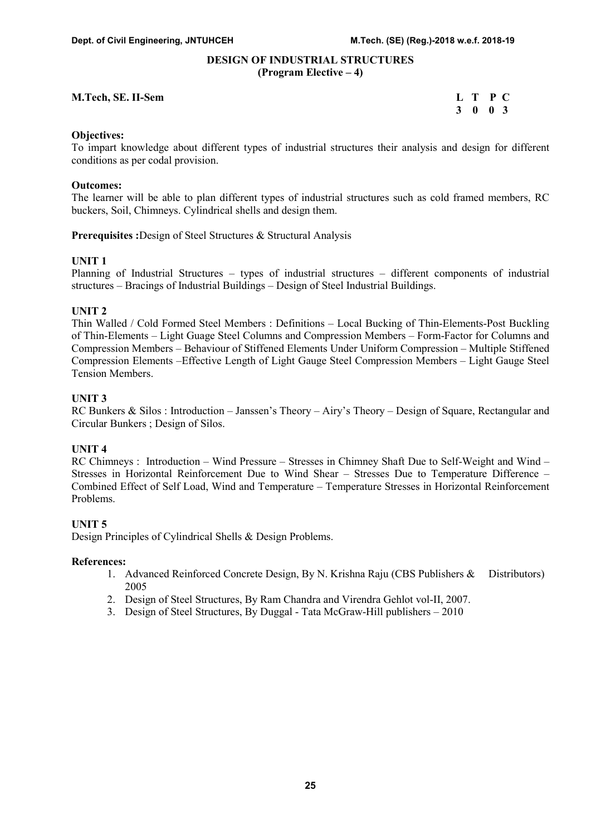#### DESIGN OF INDUSTRIAL STRUCTURES (Program Elective – 4)

#### M.Tech, SE. II-Sem L T P C

3 0 0 3

#### Objectives:

To impart knowledge about different types of industrial structures their analysis and design for different conditions as per codal provision.

#### Outcomes:

The learner will be able to plan different types of industrial structures such as cold framed members, RC buckers, Soil, Chimneys. Cylindrical shells and design them.

Prerequisites :Design of Steel Structures & Structural Analysis

# UNIT 1

Planning of Industrial Structures – types of industrial structures – different components of industrial structures – Bracings of Industrial Buildings – Design of Steel Industrial Buildings.

# UNIT 2

Thin Walled / Cold Formed Steel Members : Definitions – Local Bucking of Thin-Elements-Post Buckling of Thin-Elements – Light Guage Steel Columns and Compression Members – Form-Factor for Columns and Compression Members – Behaviour of Stiffened Elements Under Uniform Compression – Multiple Stiffened Compression Elements –Effective Length of Light Gauge Steel Compression Members – Light Gauge Steel Tension Members.

# UNIT 3

RC Bunkers & Silos : Introduction – Janssen's Theory – Airy's Theory – Design of Square, Rectangular and Circular Bunkers ; Design of Silos.

# UNIT 4

RC Chimneys : Introduction – Wind Pressure – Stresses in Chimney Shaft Due to Self-Weight and Wind – Stresses in Horizontal Reinforcement Due to Wind Shear – Stresses Due to Temperature Difference – Combined Effect of Self Load, Wind and Temperature – Temperature Stresses in Horizontal Reinforcement Problems.

# UNIT 5

Design Principles of Cylindrical Shells & Design Problems.

#### References:

- 1. Advanced Reinforced Concrete Design, By N. Krishna Raju (CBS Publishers & Distributors) 2005
- 2. Design of Steel Structures, By Ram Chandra and Virendra Gehlot vol-II, 2007.
- 3. Design of Steel Structures, By Duggal Tata McGraw-Hill publishers 2010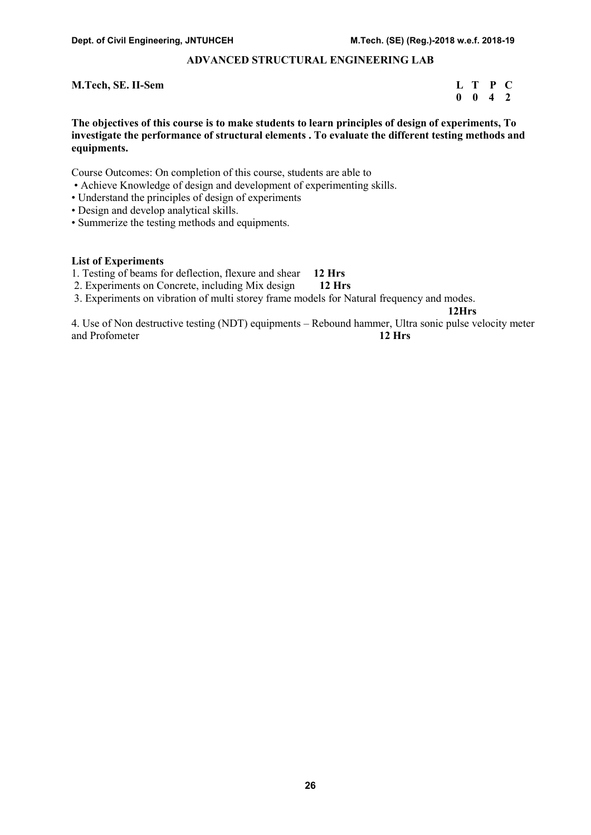# ADVANCED STRUCTURAL ENGINEERING LAB

#### M.Tech, SE. II-Sem L T P C

 $0 \quad 0 \quad 4 \quad 2$ 

The objectives of this course is to make students to learn principles of design of experiments, To investigate the performance of structural elements . To evaluate the different testing methods and equipments.

Course Outcomes: On completion of this course, students are able to

- Achieve Knowledge of design and development of experimenting skills.
- Understand the principles of design of experiments
- Design and develop analytical skills.
- Summerize the testing methods and equipments.

#### List of Experiments

- 1. Testing of beams for deflection, flexure and shear 12 Hrs
- 2. Experiments on Concrete, including Mix design 12 Hrs
- 3. Experiments on vibration of multi storey frame models for Natural frequency and modes.

12Hrs

4. Use of Non destructive testing (NDT) equipments – Rebound hammer, Ultra sonic pulse velocity meter and Profometer 12 Hrs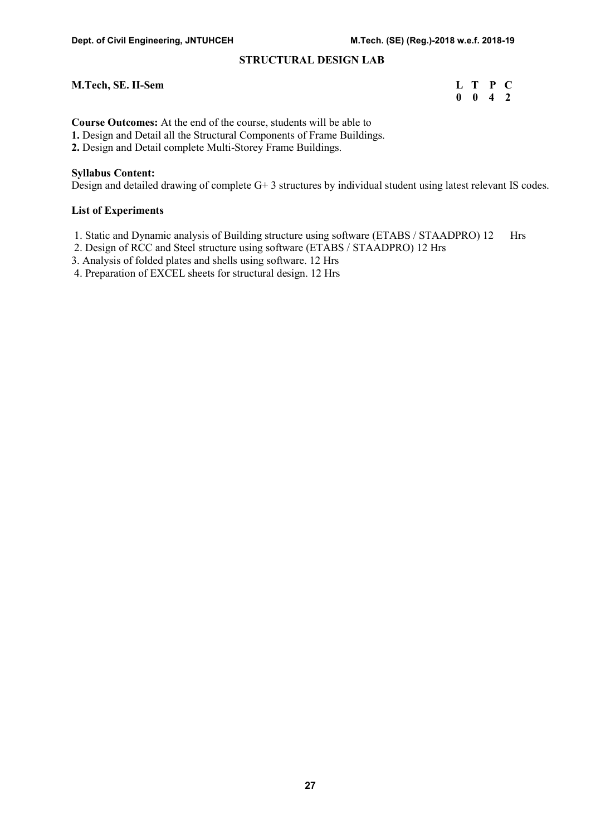# STRUCTURAL DESIGN LAB

#### M.Tech, SE. II-Sem L T P C

0 0 4 2

Course Outcomes: At the end of the course, students will be able to

1. Design and Detail all the Structural Components of Frame Buildings.

2. Design and Detail complete Multi-Storey Frame Buildings.

#### Syllabus Content:

Design and detailed drawing of complete G+ 3 structures by individual student using latest relevant IS codes.

#### List of Experiments

1. Static and Dynamic analysis of Building structure using software (ETABS / STAADPRO) 12 Hrs

2. Design of RCC and Steel structure using software (ETABS / STAADPRO) 12 Hrs

3. Analysis of folded plates and shells using software. 12 Hrs

4. Preparation of EXCEL sheets for structural design. 12 Hrs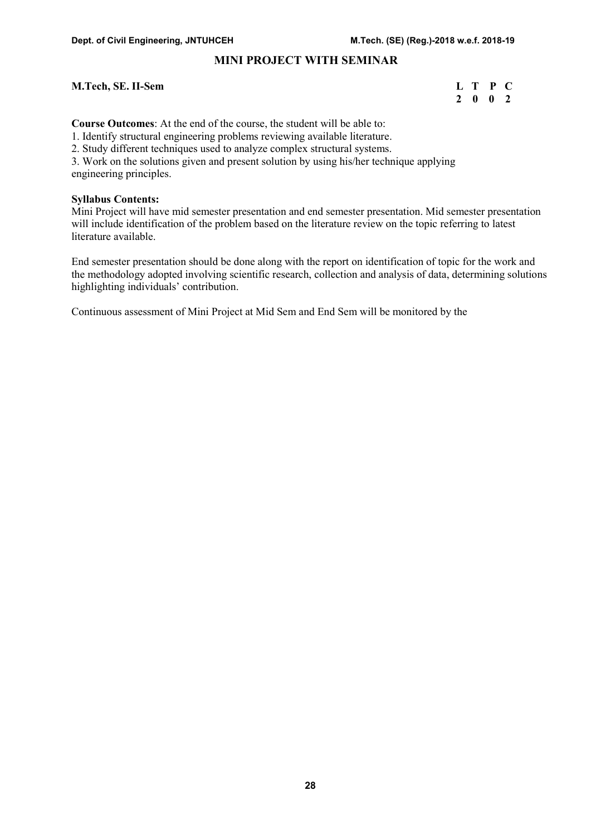# MINI PROJECT WITH SEMINAR

#### M.Tech, SE. II-Sem L T P C

# 2 0 0 2

Course Outcomes: At the end of the course, the student will be able to:

1. Identify structural engineering problems reviewing available literature.

2. Study different techniques used to analyze complex structural systems.

3. Work on the solutions given and present solution by using his/her technique applying engineering principles.

#### Syllabus Contents:

Mini Project will have mid semester presentation and end semester presentation. Mid semester presentation will include identification of the problem based on the literature review on the topic referring to latest literature available.

End semester presentation should be done along with the report on identification of topic for the work and the methodology adopted involving scientific research, collection and analysis of data, determining solutions highlighting individuals' contribution.

Continuous assessment of Mini Project at Mid Sem and End Sem will be monitored by the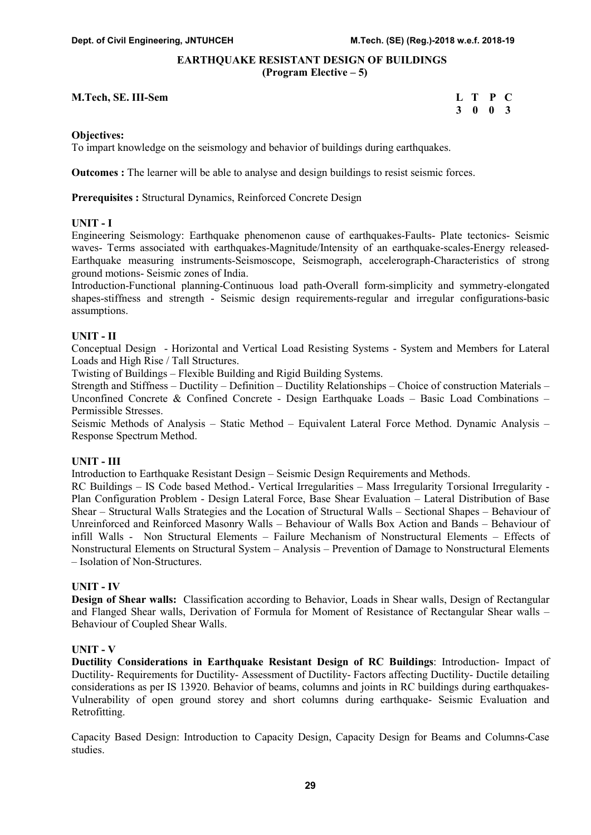# EARTHQUAKE RESISTANT DESIGN OF BUILDINGS (Program Elective – 5)

#### M.Tech, SE. III-Sem

| M.Tech, SE. III-Sem | L T P C |  |
|---------------------|---------|--|
|                     | 3 0 0 3 |  |

#### Objectives:

To impart knowledge on the seismology and behavior of buildings during earthquakes.

Outcomes : The learner will be able to analyse and design buildings to resist seismic forces.

Prerequisites : Structural Dynamics, Reinforced Concrete Design

#### UNIT - I

Engineering Seismology: Earthquake phenomenon cause of earthquakes-Faults- Plate tectonics- Seismic waves- Terms associated with earthquakes-Magnitude/Intensity of an earthquake-scales-Energy released-Earthquake measuring instruments-Seismoscope, Seismograph, accelerograph-Characteristics of strong ground motions- Seismic zones of India.

Introduction-Functional planning-Continuous load path-Overall form-simplicity and symmetry-elongated shapes-stiffness and strength - Seismic design requirements-regular and irregular configurations-basic assumptions.

#### UNIT - II

Conceptual Design - Horizontal and Vertical Load Resisting Systems - System and Members for Lateral Loads and High Rise / Tall Structures.

Twisting of Buildings – Flexible Building and Rigid Building Systems.

Strength and Stiffness – Ductility – Definition – Ductility Relationships – Choice of construction Materials – Unconfined Concrete & Confined Concrete - Design Earthquake Loads – Basic Load Combinations – Permissible Stresses.

Seismic Methods of Analysis – Static Method – Equivalent Lateral Force Method. Dynamic Analysis – Response Spectrum Method.

#### UNIT - III

Introduction to Earthquake Resistant Design – Seismic Design Requirements and Methods.

RC Buildings – IS Code based Method.- Vertical Irregularities – Mass Irregularity Torsional Irregularity -Plan Configuration Problem - Design Lateral Force, Base Shear Evaluation – Lateral Distribution of Base Shear – Structural Walls Strategies and the Location of Structural Walls – Sectional Shapes – Behaviour of Unreinforced and Reinforced Masonry Walls – Behaviour of Walls Box Action and Bands – Behaviour of infill Walls - Non Structural Elements – Failure Mechanism of Nonstructural Elements – Effects of Nonstructural Elements on Structural System – Analysis – Prevention of Damage to Nonstructural Elements – Isolation of Non-Structures.

#### UNIT - IV

Design of Shear walls: Classification according to Behavior, Loads in Shear walls, Design of Rectangular and Flanged Shear walls, Derivation of Formula for Moment of Resistance of Rectangular Shear walls – Behaviour of Coupled Shear Walls.

#### UNIT - V

Ductility Considerations in Earthquake Resistant Design of RC Buildings: Introduction- Impact of Ductility- Requirements for Ductility- Assessment of Ductility- Factors affecting Ductility- Ductile detailing considerations as per IS 13920. Behavior of beams, columns and joints in RC buildings during earthquakes-Vulnerability of open ground storey and short columns during earthquake- Seismic Evaluation and Retrofitting.

Capacity Based Design: Introduction to Capacity Design, Capacity Design for Beams and Columns-Case studies.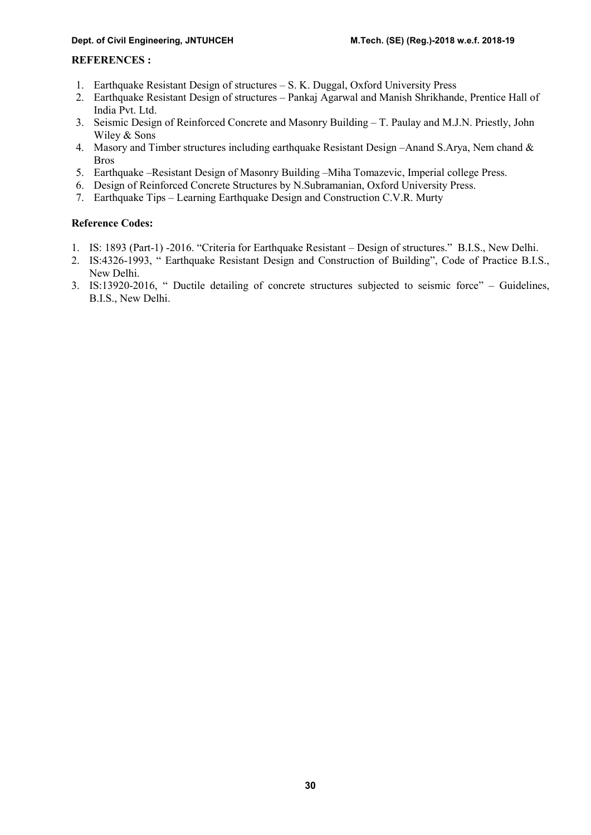# REFERENCES :

- 1. Earthquake Resistant Design of structures S. K. Duggal, Oxford University Press
- 2. Earthquake Resistant Design of structures Pankaj Agarwal and Manish Shrikhande, Prentice Hall of India Pvt. Ltd.
- 3. Seismic Design of Reinforced Concrete and Masonry Building T. Paulay and M.J.N. Priestly, John Wiley & Sons
- 4. Masory and Timber structures including earthquake Resistant Design –Anand S.Arya, Nem chand & Bros
- 5. Earthquake –Resistant Design of Masonry Building –Miha Tomazevic, Imperial college Press.
- 6. Design of Reinforced Concrete Structures by N.Subramanian, Oxford University Press.
- 7. Earthquake Tips Learning Earthquake Design and Construction C.V.R. Murty

# Reference Codes:

- 1. IS: 1893 (Part-1) -2016. "Criteria for Earthquake Resistant Design of structures." B.I.S., New Delhi.
- 2. IS:4326-1993, " Earthquake Resistant Design and Construction of Building", Code of Practice B.I.S., New Delhi.
- 3. IS:13920-2016, " Ductile detailing of concrete structures subjected to seismic force" Guidelines, B.I.S., New Delhi.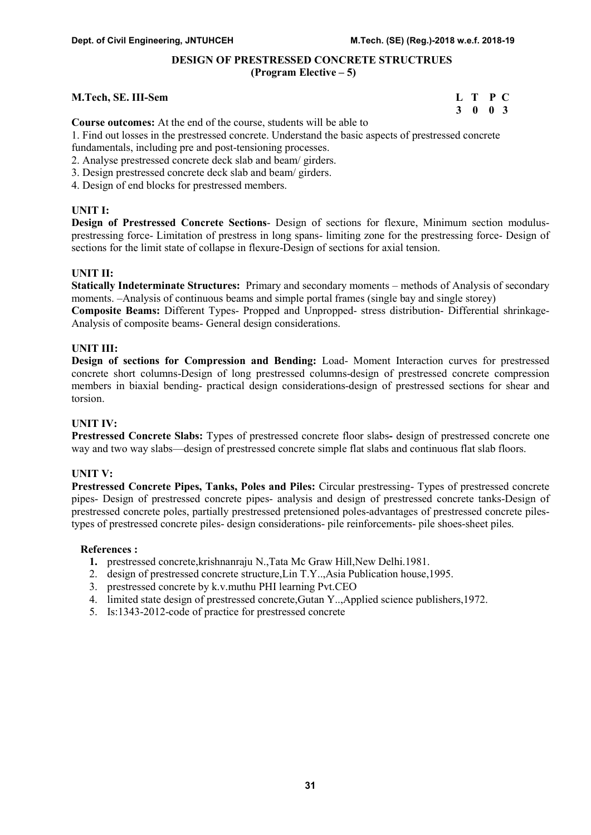# DESIGN OF PRESTRESSED CONCRETE STRUCTRUES (Program Elective – 5)

#### M.Tech, SE. III-Sem L T P C

3 0 0 3

Course outcomes: At the end of the course, students will be able to

1. Find out losses in the prestressed concrete. Understand the basic aspects of prestressed concrete fundamentals, including pre and post-tensioning processes.

- 2. Analyse prestressed concrete deck slab and beam/ girders.
- 3. Design prestressed concrete deck slab and beam/ girders.
- 4. Design of end blocks for prestressed members.

#### UNIT I:

Design of Prestressed Concrete Sections- Design of sections for flexure, Minimum section modulusprestressing force- Limitation of prestress in long spans- limiting zone for the prestressing force- Design of sections for the limit state of collapse in flexure-Design of sections for axial tension.

#### UNIT II:

Statically Indeterminate Structures: Primary and secondary moments – methods of Analysis of secondary moments. –Analysis of continuous beams and simple portal frames (single bay and single storey) Composite Beams: Different Types- Propped and Unpropped- stress distribution- Differential shrinkage-Analysis of composite beams- General design considerations.

#### UNIT III:

Design of sections for Compression and Bending: Load- Moment Interaction curves for prestressed concrete short columns-Design of long prestressed columns-design of prestressed concrete compression members in biaxial bending- practical design considerations-design of prestressed sections for shear and torsion.

#### UNIT IV:

Prestressed Concrete Slabs: Types of prestressed concrete floor slabs- design of prestressed concrete one way and two way slabs—design of prestressed concrete simple flat slabs and continuous flat slab floors.

#### UNIT V:

Prestressed Concrete Pipes, Tanks, Poles and Piles: Circular prestressing- Types of prestressed concrete pipes- Design of prestressed concrete pipes- analysis and design of prestressed concrete tanks-Design of prestressed concrete poles, partially prestressed pretensioned poles-advantages of prestressed concrete pilestypes of prestressed concrete piles- design considerations- pile reinforcements- pile shoes-sheet piles.

#### References :

- 1. prestressed concrete,krishnanraju N.,Tata Mc Graw Hill,New Delhi.1981.
- 2. design of prestressed concrete structure,Lin T.Y..,Asia Publication house,1995.
- 3. prestressed concrete by k.v.muthu PHI learning Pvt.CEO
- 4. limited state design of prestressed concrete,Gutan Y..,Applied science publishers,1972.
- 5. Is:1343-2012-code of practice for prestressed concrete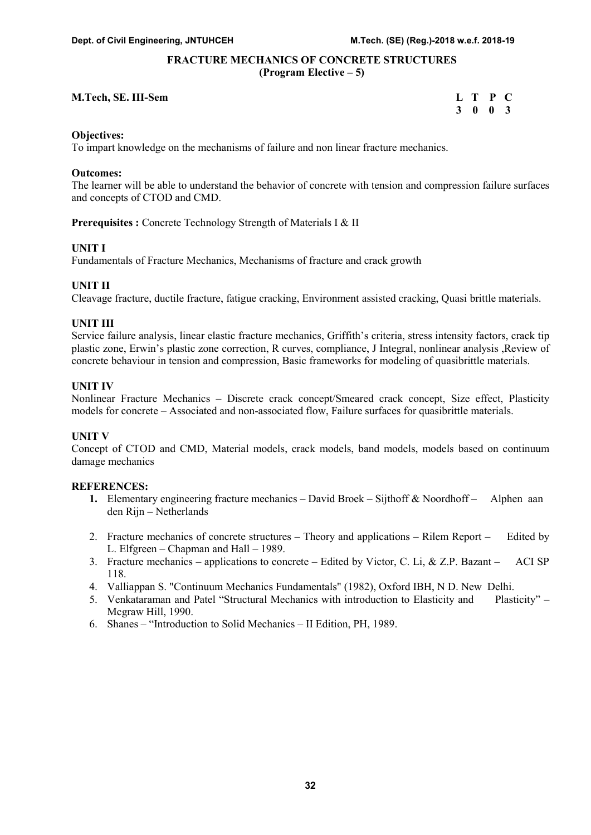# FRACTURE MECHANICS OF CONCRETE STRUCTURES (Program Elective – 5)

#### M.Tech, SE. III-Sem

| M.Tech, SE. III-Sem | L T P C         |  |
|---------------------|-----------------|--|
|                     | $3 \t0 \t0 \t3$ |  |

#### Objectives:

To impart knowledge on the mechanisms of failure and non linear fracture mechanics.

#### Outcomes:

The learner will be able to understand the behavior of concrete with tension and compression failure surfaces and concepts of CTOD and CMD.

Prerequisites : Concrete Technology Strength of Materials I & II

#### UNIT I

Fundamentals of Fracture Mechanics, Mechanisms of fracture and crack growth

#### UNIT II

Cleavage fracture, ductile fracture, fatigue cracking, Environment assisted cracking, Quasi brittle materials.

#### UNIT III

Service failure analysis, linear elastic fracture mechanics, Griffith's criteria, stress intensity factors, crack tip plastic zone, Erwin's plastic zone correction, R curves, compliance, J Integral, nonlinear analysis ,Review of concrete behaviour in tension and compression, Basic frameworks for modeling of quasibrittle materials.

#### UNIT IV

Nonlinear Fracture Mechanics – Discrete crack concept/Smeared crack concept, Size effect, Plasticity models for concrete – Associated and non-associated flow, Failure surfaces for quasibrittle materials.

#### UNIT V

Concept of CTOD and CMD, Material models, crack models, band models, models based on continuum damage mechanics

- 1. Elementary engineering fracture mechanics David Broek Sijthoff & Noordhoff Alphen aan den Rijn – Netherlands
- 2. Fracture mechanics of concrete structures Theory and applications Rilem Report Edited by L. Elfgreen – Chapman and Hall – 1989.
- 3. Fracture mechanics applications to concrete Edited by Victor, C. Li, & Z.P. Bazant ACI SP 118.
- 4. Valliappan S. "Continuum Mechanics Fundamentals" (1982), Oxford IBH, N D. New Delhi.
- 5. Venkataraman and Patel "Structural Mechanics with introduction to Elasticity and Plasticity" Mcgraw Hill, 1990.
- 6. Shanes "Introduction to Solid Mechanics II Edition, PH, 1989.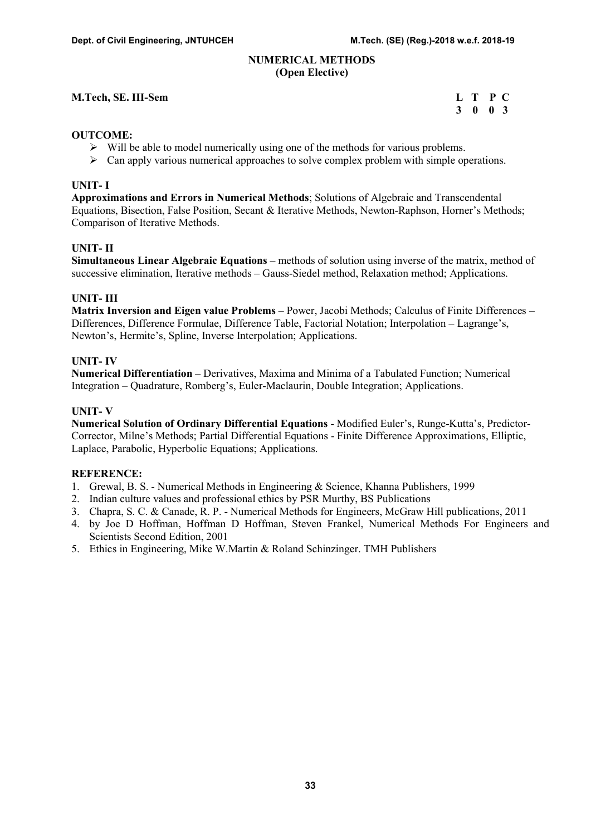#### NUMERICAL METHODS (Open Elective)

# M.Tech, SE. III-Sem L T P C

# 3 0 0 3

# OUTCOME:

- $\triangleright$  Will be able to model numerically using one of the methods for various problems.
- $\triangleright$  Can apply various numerical approaches to solve complex problem with simple operations.

#### UNIT- I

Approximations and Errors in Numerical Methods; Solutions of Algebraic and Transcendental Equations, Bisection, False Position, Secant & Iterative Methods, Newton-Raphson, Horner's Methods; Comparison of Iterative Methods.

# UNIT- II

Simultaneous Linear Algebraic Equations – methods of solution using inverse of the matrix, method of successive elimination, Iterative methods – Gauss-Siedel method, Relaxation method; Applications.

# UNIT- III

Matrix Inversion and Eigen value Problems – Power, Jacobi Methods; Calculus of Finite Differences – Differences, Difference Formulae, Difference Table, Factorial Notation; Interpolation – Lagrange's, Newton's, Hermite's, Spline, Inverse Interpolation; Applications.

# UNIT- IV

Numerical Differentiation – Derivatives, Maxima and Minima of a Tabulated Function; Numerical Integration – Quadrature, Romberg's, Euler-Maclaurin, Double Integration; Applications.

# UNIT- V

Numerical Solution of Ordinary Differential Equations - Modified Euler's, Runge-Kutta's, Predictor-Corrector, Milne's Methods; Partial Differential Equations - Finite Difference Approximations, Elliptic, Laplace, Parabolic, Hyperbolic Equations; Applications.

- 1. Grewal, B. S. Numerical Methods in Engineering & Science, Khanna Publishers, 1999
- 2. Indian culture values and professional ethics by PSR Murthy, BS Publications
- 3. Chapra, S. C. & Canade, R. P. Numerical Methods for Engineers, McGraw Hill publications, 2011
- 4. by Joe D Hoffman, Hoffman D Hoffman, Steven Frankel, Numerical Methods For Engineers and Scientists Second Edition, 2001
- 5. Ethics in Engineering, Mike W.Martin & Roland Schinzinger. TMH Publishers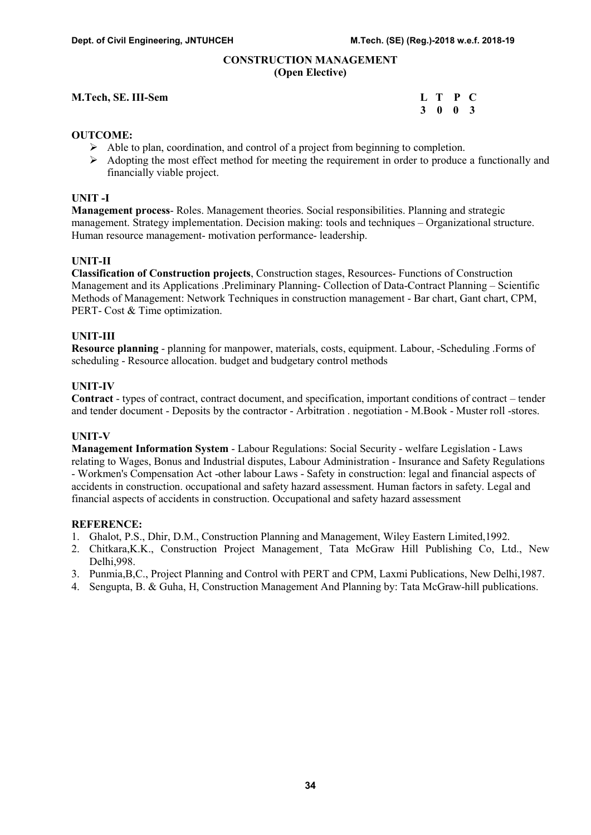#### CONSTRUCTION MANAGEMENT (Open Elective)

#### M.Tech, SE. III-Sem L T P C

3 0 0 3

#### OUTCOME:

- $\triangleright$  Able to plan, coordination, and control of a project from beginning to completion.
- $\triangleright$  Adopting the most effect method for meeting the requirement in order to produce a functionally and financially viable project.

#### UNIT -I

Management process- Roles. Management theories. Social responsibilities. Planning and strategic management. Strategy implementation. Decision making: tools and techniques – Organizational structure. Human resource management- motivation performance- leadership.

#### UNIT-II

Classification of Construction projects, Construction stages, Resources- Functions of Construction Management and its Applications .Preliminary Planning- Collection of Data-Contract Planning – Scientific Methods of Management: Network Techniques in construction management - Bar chart, Gant chart, CPM, PERT- Cost & Time optimization.

#### UNIT-III

Resource planning - planning for manpower, materials, costs, equipment. Labour, -Scheduling .Forms of scheduling - Resource allocation. budget and budgetary control methods

#### UNIT-IV

Contract - types of contract, contract document, and specification, important conditions of contract – tender and tender document - Deposits by the contractor - Arbitration . negotiation - M.Book - Muster roll -stores.

#### UNIT-V

Management Information System - Labour Regulations: Social Security - welfare Legislation - Laws relating to Wages, Bonus and Industrial disputes, Labour Administration - Insurance and Safety Regulations - Workmen's Compensation Act -other labour Laws - Safety in construction: legal and financial aspects of accidents in construction. occupational and safety hazard assessment. Human factors in safety. Legal and financial aspects of accidents in construction. Occupational and safety hazard assessment

- 1. Ghalot, P.S., Dhir, D.M., Construction Planning and Management, Wiley Eastern Limited,1992.
- 2. Chitkara,K.K., Construction Project Management Tata McGraw Hill Publishing Co, Ltd., New Delhi,998.
- 3. Punmia,B,C., Project Planning and Control with PERT and CPM, Laxmi Publications, New Delhi,1987.
- 4. Sengupta, B. & Guha, H, Construction Management And Planning by: Tata McGraw-hill publications.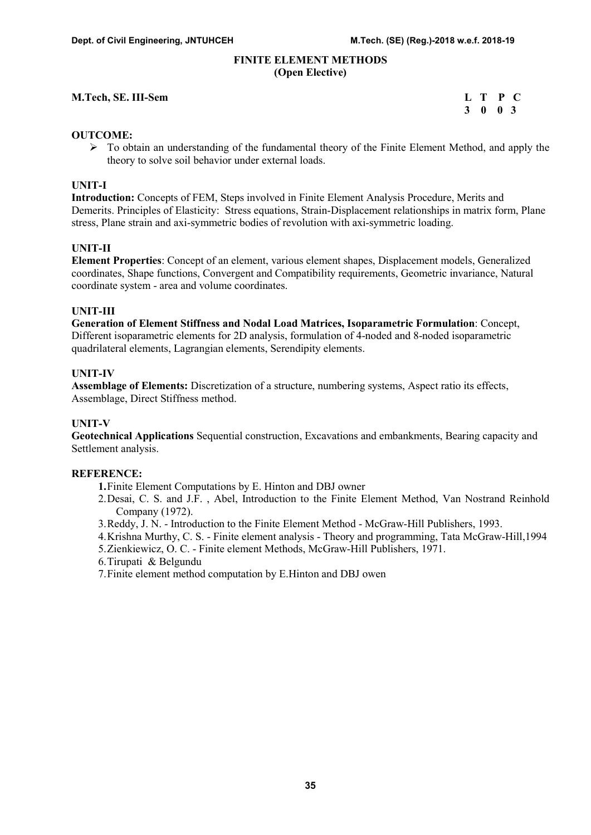#### FINITE ELEMENT METHODS (Open Elective)

#### M.Tech, SE. III-Sem

| M.Tech, SE. III-Sem | L T P C |  |
|---------------------|---------|--|
|                     | 3 0 0 3 |  |

#### OUTCOME:

 $\triangleright$  To obtain an understanding of the fundamental theory of the Finite Element Method, and apply the theory to solve soil behavior under external loads.

#### UNIT-I

Introduction: Concepts of FEM, Steps involved in Finite Element Analysis Procedure, Merits and Demerits. Principles of Elasticity: Stress equations, Strain-Displacement relationships in matrix form, Plane stress, Plane strain and axi-symmetric bodies of revolution with axi-symmetric loading.

#### UNIT-II

Element Properties: Concept of an element, various element shapes, Displacement models, Generalized coordinates, Shape functions, Convergent and Compatibility requirements, Geometric invariance, Natural coordinate system - area and volume coordinates.

#### UNIT-III

Generation of Element Stiffness and Nodal Load Matrices, Isoparametric Formulation: Concept, Different isoparametric elements for 2D analysis, formulation of 4-noded and 8-noded isoparametric quadrilateral elements, Lagrangian elements, Serendipity elements.

#### UNIT-IV

Assemblage of Elements: Discretization of a structure, numbering systems, Aspect ratio its effects, Assemblage, Direct Stiffness method.

#### UNIT-V

Geotechnical Applications Sequential construction, Excavations and embankments, Bearing capacity and Settlement analysis.

#### REFERENCE:

1.Finite Element Computations by E. Hinton and DBJ owner

- 2.Desai, C. S. and J.F. , Abel, Introduction to the Finite Element Method, Van Nostrand Reinhold Company (1972).
- 3.Reddy, J. N. Introduction to the Finite Element Method McGraw-Hill Publishers, 1993.
- 4.Krishna Murthy, C. S. Finite element analysis Theory and programming, Tata McGraw-Hill,1994
- 5.Zienkiewicz, O. C. Finite element Methods, McGraw-Hill Publishers, 1971.
- 6.Tirupati & Belgundu
- 7.Finite element method computation by E.Hinton and DBJ owen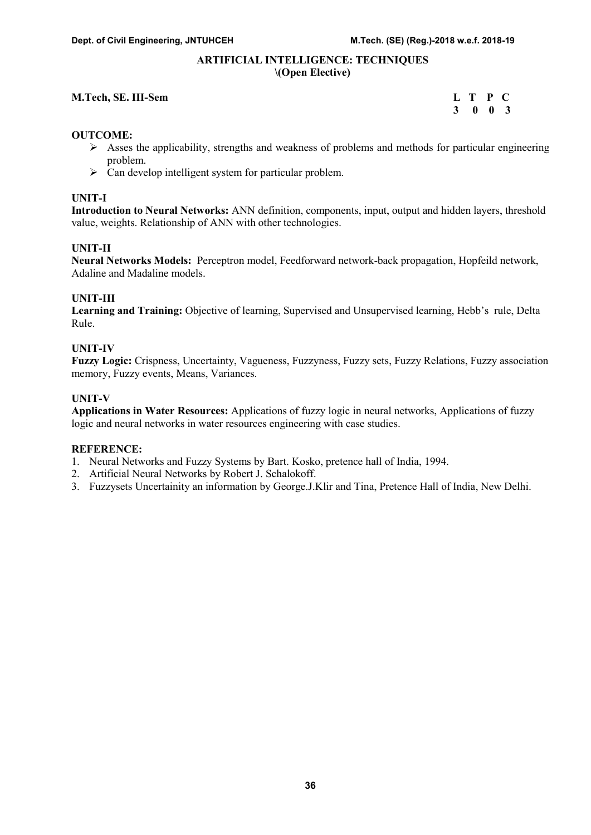#### ARTIFICIAL INTELLIGENCE: TECHNIQUES \(Open Elective)

#### M.Tech, SE. III-Sem

| M.Tech, SE. III-Sem | L T P C |  |  |
|---------------------|---------|--|--|
|                     | 3 0 0 3 |  |  |

#### OUTCOME:

- $\triangleright$  Asses the applicability, strengths and weakness of problems and methods for particular engineering problem.
- $\triangleright$  Can develop intelligent system for particular problem.

#### UNIT-I

Introduction to Neural Networks: ANN definition, components, input, output and hidden layers, threshold value, weights. Relationship of ANN with other technologies.

#### UNIT-II

Neural Networks Models: Perceptron model, Feedforward network-back propagation, Hopfeild network, Adaline and Madaline models.

#### UNIT-III

Learning and Training: Objective of learning, Supervised and Unsupervised learning, Hebb's rule, Delta Rule.

# UNIT-IV

Fuzzy Logic: Crispness, Uncertainty, Vagueness, Fuzzyness, Fuzzy sets, Fuzzy Relations, Fuzzy association memory, Fuzzy events, Means, Variances.

#### UNIT-V

Applications in Water Resources: Applications of fuzzy logic in neural networks, Applications of fuzzy logic and neural networks in water resources engineering with case studies.

- 1. Neural Networks and Fuzzy Systems by Bart. Kosko, pretence hall of India, 1994.
- 2. Artificial Neural Networks by Robert J. Schalokoff.
- 3. Fuzzysets Uncertainity an information by George.J.Klir and Tina, Pretence Hall of India, New Delhi.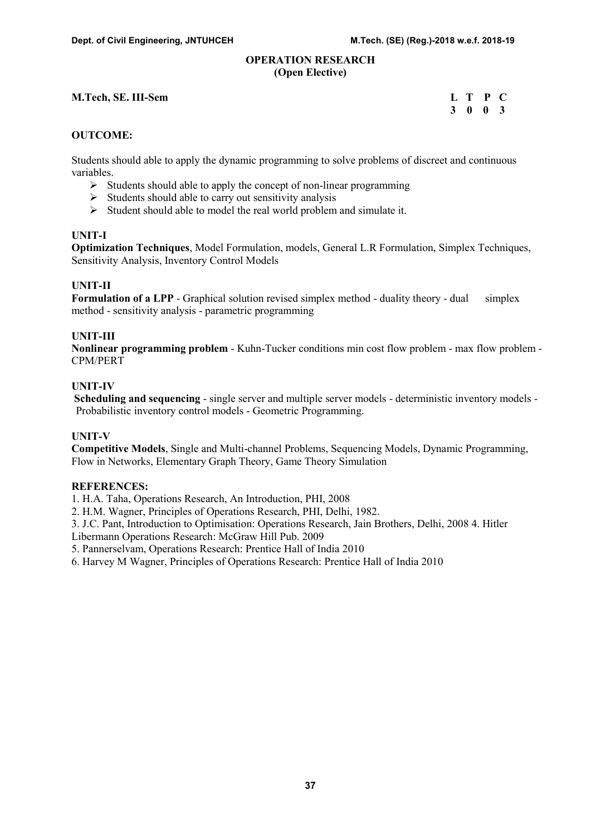#### OPERATION RESEARCH (Open Elective)

# M.Tech, SE. III-Sem

| M.Tech, SE. III-Sem | L T P C |  |
|---------------------|---------|--|
|                     | 3 0 0 3 |  |

#### OUTCOME:

Students should able to apply the dynamic programming to solve problems of discreet and continuous variables.

- $\triangleright$  Students should able to apply the concept of non-linear programming
- $\triangleright$  Students should able to carry out sensitivity analysis
- $\triangleright$  Student should able to model the real world problem and simulate it.

### UNIT-I

Optimization Techniques, Model Formulation, models, General L.R Formulation, Simplex Techniques, Sensitivity Analysis, Inventory Control Models

#### UNIT-II

Formulation of a LPP - Graphical solution revised simplex method - duality theory - dual simplex method - sensitivity analysis - parametric programming

#### UNIT-III

Nonlinear programming problem - Kuhn-Tucker conditions min cost flow problem - max flow problem - CPM/PERT

# UNIT-IV

Scheduling and sequencing - single server and multiple server models - deterministic inventory models - Probabilistic inventory control models - Geometric Programming.

#### UNIT-V

Competitive Models, Single and Multi-channel Problems, Sequencing Models, Dynamic Programming, Flow in Networks, Elementary Graph Theory, Game Theory Simulation

#### REFERENCES:

1. H.A. Taha, Operations Research, An Introduction, PHI, 2008

2. H.M. Wagner, Principles of Operations Research, PHI, Delhi, 1982.

3. J.C. Pant, Introduction to Optimisation: Operations Research, Jain Brothers, Delhi, 2008 4. Hitler

Libermann Operations Research: McGraw Hill Pub. 2009

5. Pannerselvam, Operations Research: Prentice Hall of India 2010

6. Harvey M Wagner, Principles of Operations Research: Prentice Hall of India 2010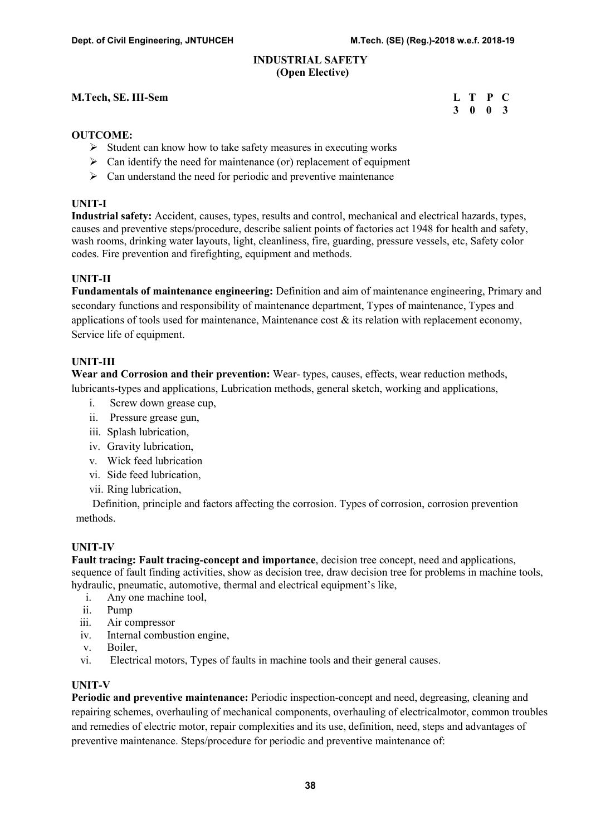#### INDUSTRIAL SAFETY (Open Elective)

# M.Tech, SE. III-Sem L T P C

# 3 0 0 3

#### OUTCOME:

- $\triangleright$  Student can know how to take safety measures in executing works
- $\triangleright$  Can identify the need for maintenance (or) replacement of equipment
- $\triangleright$  Can understand the need for periodic and preventive maintenance

#### UNIT-I

Industrial safety: Accident, causes, types, results and control, mechanical and electrical hazards, types, causes and preventive steps/procedure, describe salient points of factories act 1948 for health and safety, wash rooms, drinking water layouts, light, cleanliness, fire, guarding, pressure vessels, etc, Safety color codes. Fire prevention and firefighting, equipment and methods.

# UNIT-II

Fundamentals of maintenance engineering: Definition and aim of maintenance engineering, Primary and secondary functions and responsibility of maintenance department, Types of maintenance, Types and applications of tools used for maintenance, Maintenance cost  $\&$  its relation with replacement economy, Service life of equipment.

#### UNIT-III

Wear and Corrosion and their prevention: Wear-types, causes, effects, wear reduction methods, lubricants-types and applications, Lubrication methods, general sketch, working and applications,

- i. Screw down grease cup,
- ii. Pressure grease gun,
- iii. Splash lubrication,
- iv. Gravity lubrication,
- v. Wick feed lubrication
- vi. Side feed lubrication,
- vii. Ring lubrication,

 Definition, principle and factors affecting the corrosion. Types of corrosion, corrosion prevention methods.

#### UNIT-IV

Fault tracing: Fault tracing-concept and importance, decision tree concept, need and applications, sequence of fault finding activities, show as decision tree, draw decision tree for problems in machine tools, hydraulic, pneumatic, automotive, thermal and electrical equipment's like,

- i. Any one machine tool,
- ii. Pump
- iii. Air compressor
- iv. Internal combustion engine,
- v. Boiler,
- vi. Electrical motors, Types of faults in machine tools and their general causes.

#### UNIT-V

Periodic and preventive maintenance: Periodic inspection-concept and need, degreasing, cleaning and repairing schemes, overhauling of mechanical components, overhauling of electricalmotor, common troubles and remedies of electric motor, repair complexities and its use, definition, need, steps and advantages of preventive maintenance. Steps/procedure for periodic and preventive maintenance of: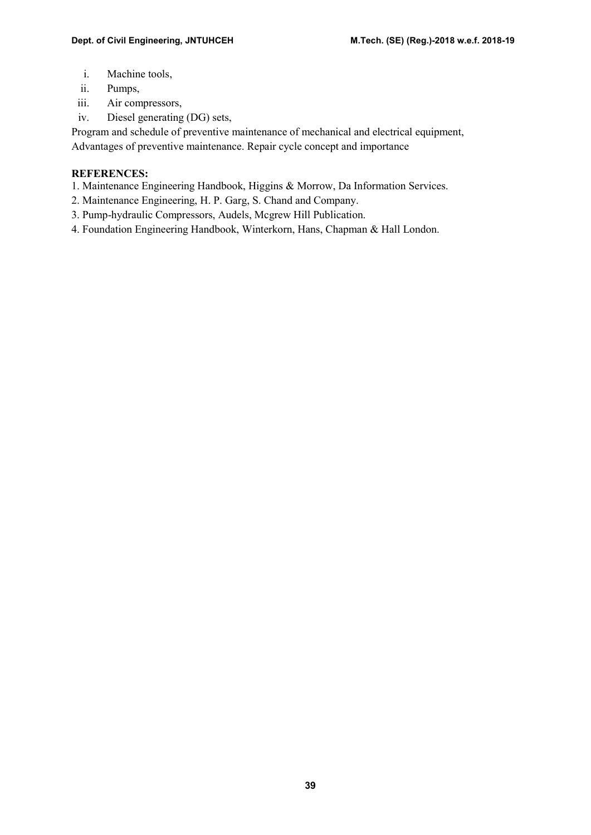- i. Machine tools,
- ii. Pumps,
- iii. Air compressors,
- iv. Diesel generating (DG) sets,

Program and schedule of preventive maintenance of mechanical and electrical equipment, Advantages of preventive maintenance. Repair cycle concept and importance

- 1. Maintenance Engineering Handbook, Higgins & Morrow, Da Information Services.
- 2. Maintenance Engineering, H. P. Garg, S. Chand and Company.
- 3. Pump-hydraulic Compressors, Audels, Mcgrew Hill Publication.
- 4. Foundation Engineering Handbook, Winterkorn, Hans, Chapman & Hall London.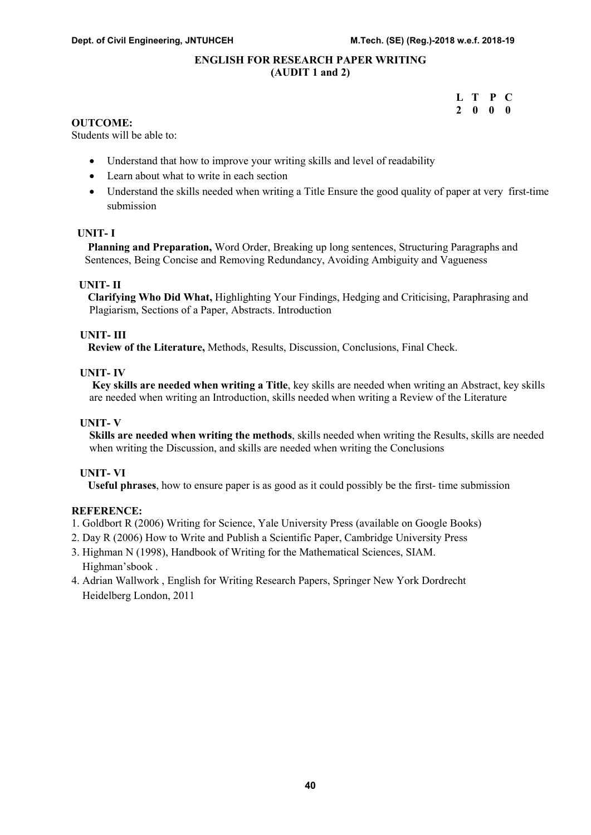#### ENGLISH FOR RESEARCH PAPER WRITING (AUDIT 1 and 2)

|  | L T P C                  |  |
|--|--------------------------|--|
|  | $2\quad 0\quad 0\quad 0$ |  |

#### OUTCOME:

Students will be able to:

- Understand that how to improve your writing skills and level of readability
- Learn about what to write in each section
- Understand the skills needed when writing a Title Ensure the good quality of paper at very first-time submission

#### UNIT- I

 Planning and Preparation, Word Order, Breaking up long sentences, Structuring Paragraphs and Sentences, Being Concise and Removing Redundancy, Avoiding Ambiguity and Vagueness

#### UNIT- II

 Clarifying Who Did What, Highlighting Your Findings, Hedging and Criticising, Paraphrasing and Plagiarism, Sections of a Paper, Abstracts. Introduction

#### UNIT- III

Review of the Literature, Methods, Results, Discussion, Conclusions, Final Check.

#### UNIT- IV

 Key skills are needed when writing a Title, key skills are needed when writing an Abstract, key skills are needed when writing an Introduction, skills needed when writing a Review of the Literature

#### UNIT- V

Skills are needed when writing the methods, skills needed when writing the Results, skills are needed when writing the Discussion, and skills are needed when writing the Conclusions

#### UNIT- VI

Useful phrases, how to ensure paper is as good as it could possibly be the first- time submission

- 1. Goldbort R (2006) Writing for Science, Yale University Press (available on Google Books)
- 2. Day R (2006) How to Write and Publish a Scientific Paper, Cambridge University Press
- 3. Highman N (1998), Handbook of Writing for the Mathematical Sciences, SIAM. Highman'sbook .
- 4. Adrian Wallwork , English for Writing Research Papers, Springer New York Dordrecht Heidelberg London, 2011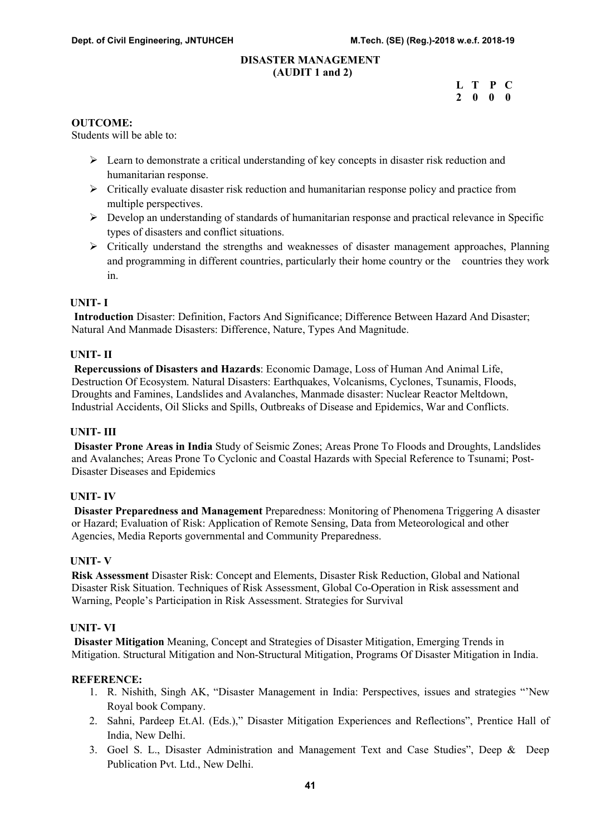#### DISASTER MANAGEMENT (AUDIT 1 and 2)

| $\sqrt{2}$ |                          |  |
|------------|--------------------------|--|
|            | L T P C                  |  |
|            | $2\quad 0\quad 0\quad 0$ |  |

#### OUTCOME:

Students will be able to:

- Learn to demonstrate a critical understanding of key concepts in disaster risk reduction and humanitarian response.
- $\triangleright$  Critically evaluate disaster risk reduction and humanitarian response policy and practice from multiple perspectives.
- Develop an understanding of standards of humanitarian response and practical relevance in Specific types of disasters and conflict situations.
- $\triangleright$  Critically understand the strengths and weaknesses of disaster management approaches, Planning and programming in different countries, particularly their home country or the countries they work in.

#### UNIT- I

 Introduction Disaster: Definition, Factors And Significance; Difference Between Hazard And Disaster; Natural And Manmade Disasters: Difference, Nature, Types And Magnitude.

#### UNIT- II

 Repercussions of Disasters and Hazards: Economic Damage, Loss of Human And Animal Life, Destruction Of Ecosystem. Natural Disasters: Earthquakes, Volcanisms, Cyclones, Tsunamis, Floods, Droughts and Famines, Landslides and Avalanches, Manmade disaster: Nuclear Reactor Meltdown, Industrial Accidents, Oil Slicks and Spills, Outbreaks of Disease and Epidemics, War and Conflicts.

#### UNIT- III

 Disaster Prone Areas in India Study of Seismic Zones; Areas Prone To Floods and Droughts, Landslides and Avalanches; Areas Prone To Cyclonic and Coastal Hazards with Special Reference to Tsunami; Post-Disaster Diseases and Epidemics

#### UNIT- IV

 Disaster Preparedness and Management Preparedness: Monitoring of Phenomena Triggering A disaster or Hazard; Evaluation of Risk: Application of Remote Sensing, Data from Meteorological and other Agencies, Media Reports governmental and Community Preparedness.

#### UNIT- V

Risk Assessment Disaster Risk: Concept and Elements, Disaster Risk Reduction, Global and National Disaster Risk Situation. Techniques of Risk Assessment, Global Co-Operation in Risk assessment and Warning, People's Participation in Risk Assessment. Strategies for Survival

#### UNIT- VI

 Disaster Mitigation Meaning, Concept and Strategies of Disaster Mitigation, Emerging Trends in Mitigation. Structural Mitigation and Non-Structural Mitigation, Programs Of Disaster Mitigation in India.

- 1. R. Nishith, Singh AK, "Disaster Management in India: Perspectives, issues and strategies "'New Royal book Company.
- 2. Sahni, Pardeep Et.Al. (Eds.)," Disaster Mitigation Experiences and Reflections", Prentice Hall of India, New Delhi.
- 3. Goel S. L., Disaster Administration and Management Text and Case Studies", Deep & Deep Publication Pvt. Ltd., New Delhi.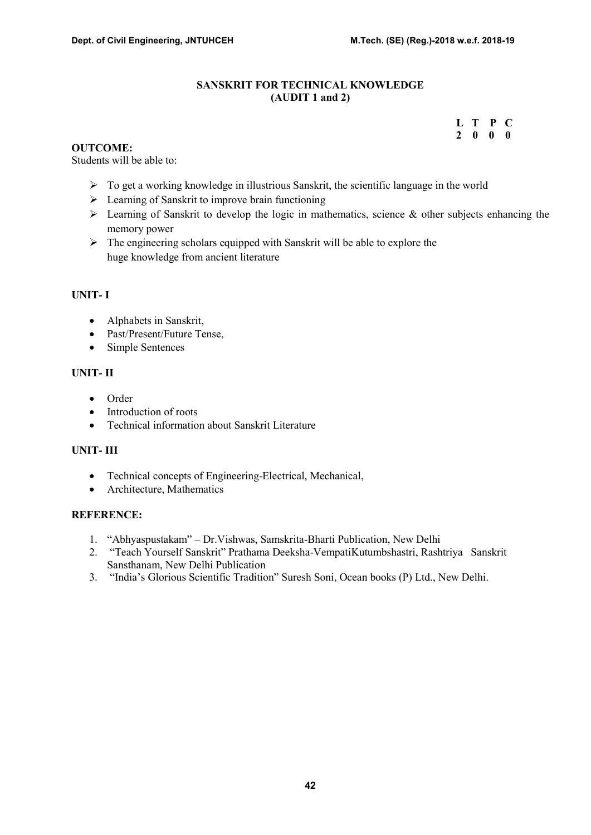### SANSKRIT FOR TECHNICAL KNOWLEDGE (AUDIT 1 and 2)

# L T P C 2 0 0 0

#### OUTCOME:

Students will be able to:

- $\triangleright$  To get a working knowledge in illustrious Sanskrit, the scientific language in the world
- $\triangleright$  Learning of Sanskrit to improve brain functioning
- $\triangleright$  Learning of Sanskrit to develop the logic in mathematics, science & other subjects enhancing the memory power
- $\triangleright$  The engineering scholars equipped with Sanskrit will be able to explore the huge knowledge from ancient literature

#### UNIT- I

- Alphabets in Sanskrit,
- Past/Present/Future Tense.
- Simple Sentences

#### UNIT- II

- Order
- Introduction of roots
- Technical information about Sanskrit Literature

# UNIT- III

- Technical concepts of Engineering-Electrical, Mechanical,
- Architecture, Mathematics

- 1. "Abhyaspustakam" Dr.Vishwas, Samskrita-Bharti Publication, New Delhi
- 2. "Teach Yourself Sanskrit" Prathama Deeksha-VempatiKutumbshastri, Rashtriya Sanskrit Sansthanam, New Delhi Publication
- 3. "India's Glorious Scientific Tradition" Suresh Soni, Ocean books (P) Ltd., New Delhi.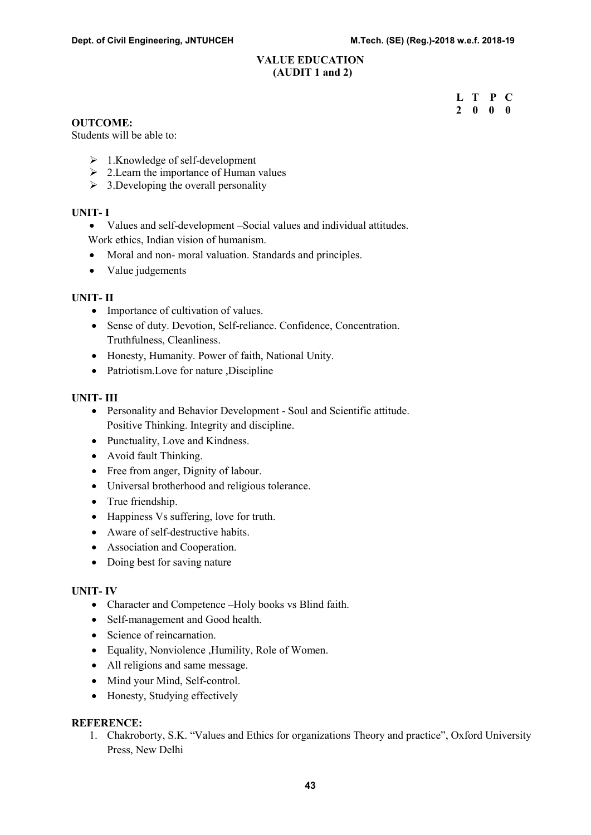#### VALUE EDUCATION (AUDIT 1 and 2)

 L T P C 2 0 0 0

#### OUTCOME:

Students will be able to:

- $\geq 1$ .Knowledge of self-development
- $\geq 2$ . Learn the importance of Human values
- $\geq 3$ . Developing the overall personality

#### UNIT- I

- Values and self-development –Social values and individual attitudes.
- Work ethics, Indian vision of humanism.
- Moral and non- moral valuation. Standards and principles.
- Value judgements

#### UNIT- II

- Importance of cultivation of values.
- Sense of duty. Devotion, Self-reliance. Confidence, Concentration. Truthfulness, Cleanliness.
- Honesty, Humanity. Power of faith, National Unity.
- Patriotism. Love for nature ,Discipline

#### UNIT- III

- Personality and Behavior Development Soul and Scientific attitude. Positive Thinking. Integrity and discipline.
- Punctuality, Love and Kindness.
- Avoid fault Thinking.
- Free from anger, Dignity of labour.
- Universal brotherhood and religious tolerance.
- True friendship.
- Happiness Vs suffering, love for truth.
- Aware of self-destructive habits.
- Association and Cooperation.
- Doing best for saving nature

#### UNIT- IV

- Character and Competence –Holy books vs Blind faith.
- Self-management and Good health.
- Science of reincarnation.
- Equality, Nonviolence ,Humility, Role of Women.
- All religions and same message.
- Mind your Mind, Self-control.
- Honesty, Studying effectively

#### REFERENCE:

1. Chakroborty, S.K. "Values and Ethics for organizations Theory and practice", Oxford University Press, New Delhi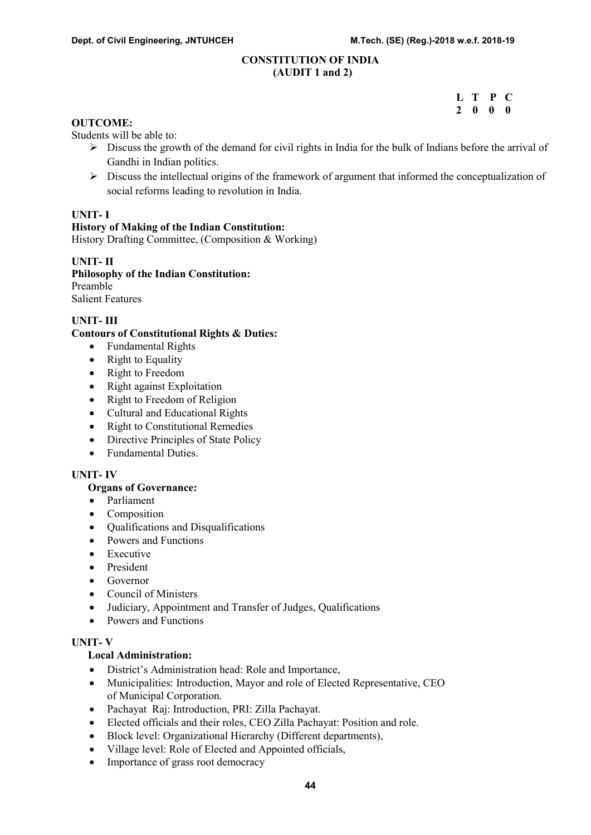#### CONSTITUTION OF INDIA (AUDIT 1 and 2)

 L T P C 2 0 0 0

# OUTCOME:

Students will be able to:

- $\triangleright$  Discuss the growth of the demand for civil rights in India for the bulk of Indians before the arrival of Gandhi in Indian politics.
- $\triangleright$  Discuss the intellectual origins of the framework of argument that informed the conceptualization of social reforms leading to revolution in India.

#### UNIT- I

#### History of Making of the Indian Constitution:

History Drafting Committee, (Composition & Working)

#### UNIT- II

Philosophy of the Indian Constitution: Preamble Salient Features

# UNIT- III

#### Contours of Constitutional Rights & Duties:

- Fundamental Rights
- Right to Equality
- Right to Freedom
- Right against Exploitation
- Right to Freedom of Religion
- Cultural and Educational Rights
- Right to Constitutional Remedies
- Directive Principles of State Policy
- Fundamental Duties.

#### UNIT- IV

#### Organs of Governance:

- Parliament
- Composition
- Oualifications and Disqualifications
- Powers and Functions
- Executive
- President
- Governor
- Council of Ministers
- Judiciary, Appointment and Transfer of Judges, Qualifications
- Powers and Functions

#### UNIT- V

#### Local Administration:

- District's Administration head: Role and Importance,
- Municipalities: Introduction, Mayor and role of Elected Representative, CEO of Municipal Corporation.
- Pachayat Raj: Introduction, PRI: Zilla Pachayat.
- Elected officials and their roles, CEO Zilla Pachayat: Position and role.
- Block level: Organizational Hierarchy (Different departments),
- Village level: Role of Elected and Appointed officials,
- Importance of grass root democracy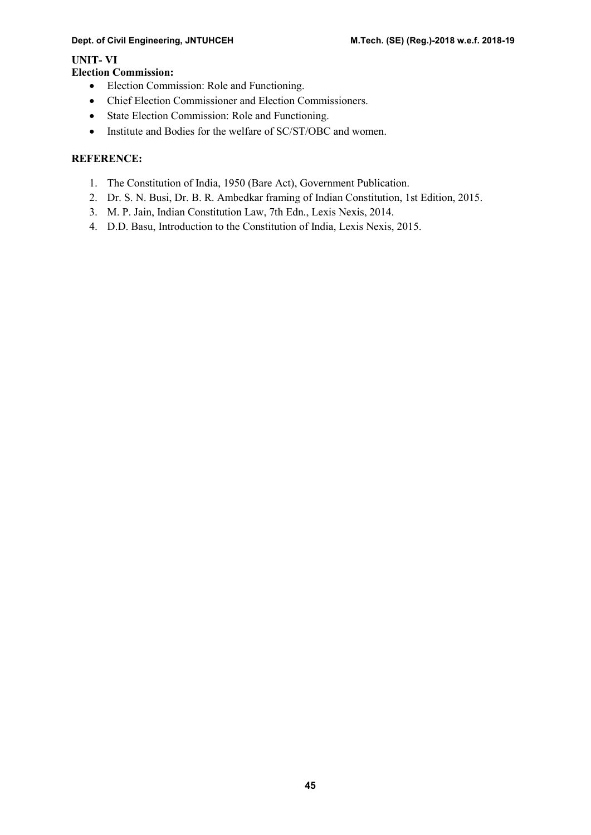#### Dept. of Civil Engineering, JNTUHCEH M.Tech. (SE) (Reg.)-2018 w.e.f. 2018-19

# UNIT- VI

# Election Commission:

- Election Commission: Role and Functioning.
- Chief Election Commissioner and Election Commissioners.
- State Election Commission: Role and Functioning.
- Institute and Bodies for the welfare of SC/ST/OBC and women.

- 1. The Constitution of India, 1950 (Bare Act), Government Publication.
- 2. Dr. S. N. Busi, Dr. B. R. Ambedkar framing of Indian Constitution, 1st Edition, 2015.
- 3. M. P. Jain, Indian Constitution Law, 7th Edn., Lexis Nexis, 2014.
- 4. D.D. Basu, Introduction to the Constitution of India, Lexis Nexis, 2015.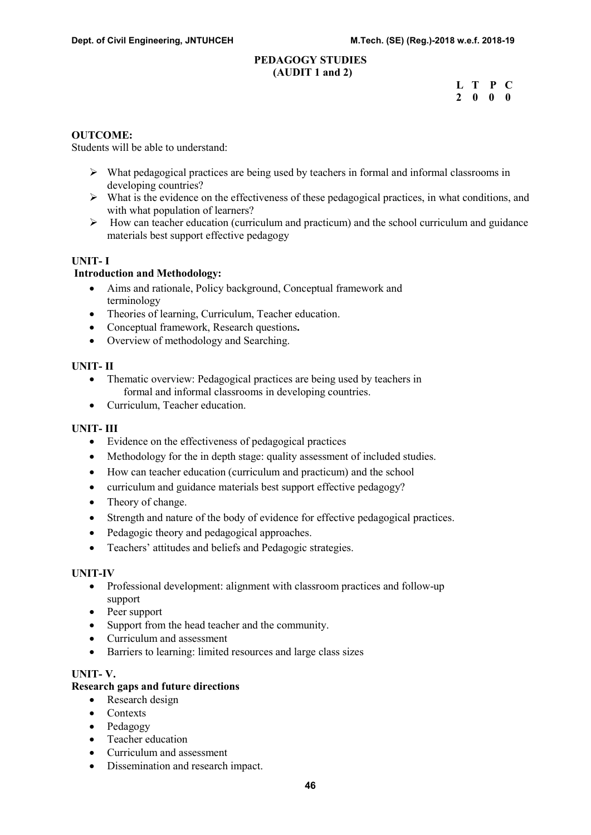#### PEDAGOGY STUDIES (AUDIT 1 and 2)

|  | L T P C                  |  |  |
|--|--------------------------|--|--|
|  | $2\quad 0\quad 0\quad 0$ |  |  |

#### OUTCOME:

Students will be able to understand:

- $\triangleright$  What pedagogical practices are being used by teachers in formal and informal classrooms in developing countries?
- $\triangleright$  What is the evidence on the effectiveness of these pedagogical practices, in what conditions, and with what population of learners?
- $\triangleright$  How can teacher education (curriculum and practicum) and the school curriculum and guidance materials best support effective pedagogy

#### UNIT- I

#### Introduction and Methodology:

- Aims and rationale, Policy background, Conceptual framework and terminology
- Theories of learning, Curriculum, Teacher education.
- Conceptual framework, Research questions.
- Overview of methodology and Searching.

#### UNIT- II

- Thematic overview: Pedagogical practices are being used by teachers in formal and informal classrooms in developing countries.
- Curriculum, Teacher education.

#### UNIT- III

- Evidence on the effectiveness of pedagogical practices
- Methodology for the in depth stage: quality assessment of included studies.
- How can teacher education (curriculum and practicum) and the school
- curriculum and guidance materials best support effective pedagogy?
- Theory of change.
- Strength and nature of the body of evidence for effective pedagogical practices.
- Pedagogic theory and pedagogical approaches.
- Teachers' attitudes and beliefs and Pedagogic strategies.

#### UNIT-IV

- Professional development: alignment with classroom practices and follow-up support
- Peer support
- Support from the head teacher and the community.
- Curriculum and assessment
- Barriers to learning: limited resources and large class sizes

#### UNIT- V.

#### Research gaps and future directions

- Research design
- Contexts
- Pedagogy
- Teacher education
- Curriculum and assessment
- Dissemination and research impact.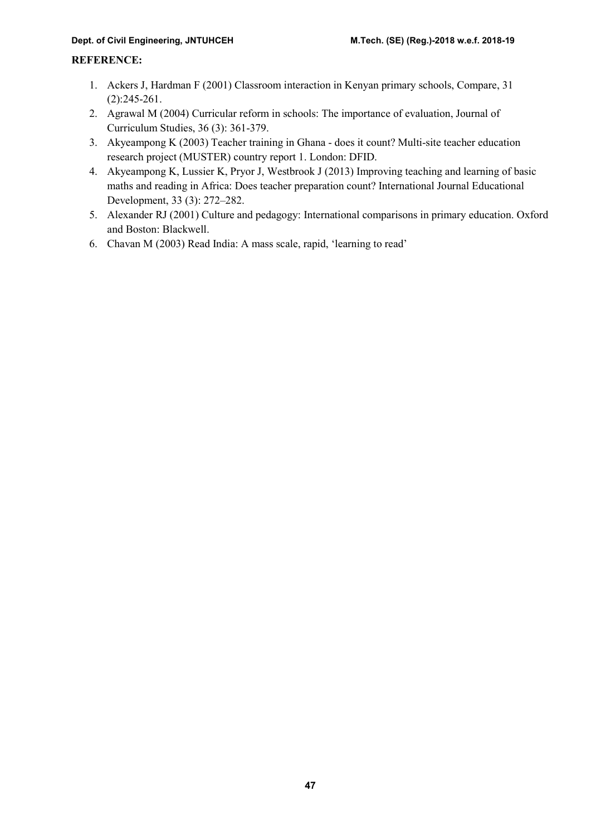- 1. Ackers J, Hardman F (2001) Classroom interaction in Kenyan primary schools, Compare, 31 (2):245-261.
- 2. Agrawal M (2004) Curricular reform in schools: The importance of evaluation, Journal of Curriculum Studies, 36 (3): 361-379.
- 3. Akyeampong K (2003) Teacher training in Ghana does it count? Multi-site teacher education research project (MUSTER) country report 1. London: DFID.
- 4. Akyeampong K, Lussier K, Pryor J, Westbrook J (2013) Improving teaching and learning of basic maths and reading in Africa: Does teacher preparation count? International Journal Educational Development, 33 (3): 272–282.
- 5. Alexander RJ (2001) Culture and pedagogy: International comparisons in primary education. Oxford and Boston: Blackwell.
- 6. Chavan M (2003) Read India: A mass scale, rapid, 'learning to read'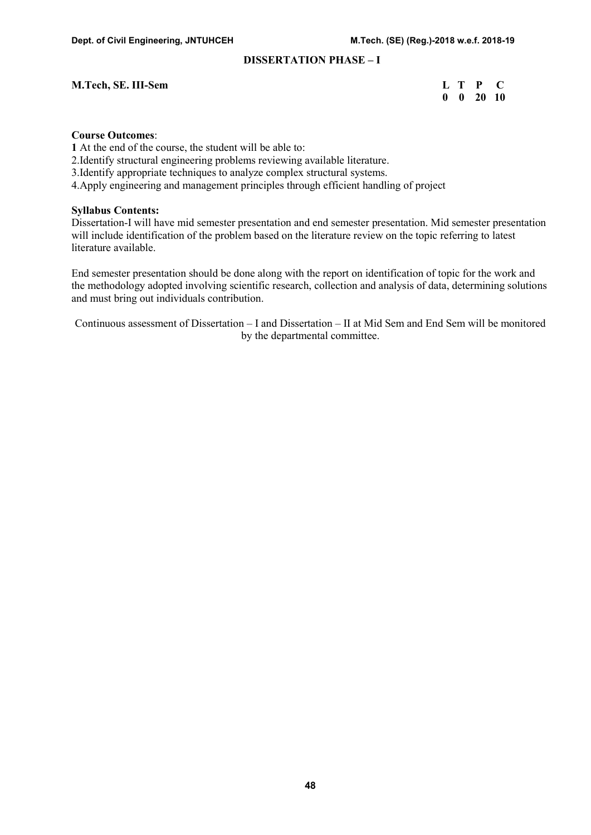# DISSERTATION PHASE – I

#### M.Tech, SE. III-Sem

| <b>M.Tech, SE. III-Sem</b> |  | L T P C                       |  |
|----------------------------|--|-------------------------------|--|
|                            |  | $0 \quad 0 \quad 20 \quad 10$ |  |

#### Course Outcomes:

1 At the end of the course, the student will be able to:

2.Identify structural engineering problems reviewing available literature.

3.Identify appropriate techniques to analyze complex structural systems.

4.Apply engineering and management principles through efficient handling of project

#### Syllabus Contents:

Dissertation-I will have mid semester presentation and end semester presentation. Mid semester presentation will include identification of the problem based on the literature review on the topic referring to latest literature available.

End semester presentation should be done along with the report on identification of topic for the work and the methodology adopted involving scientific research, collection and analysis of data, determining solutions and must bring out individuals contribution.

Continuous assessment of Dissertation – I and Dissertation – II at Mid Sem and End Sem will be monitored by the departmental committee.